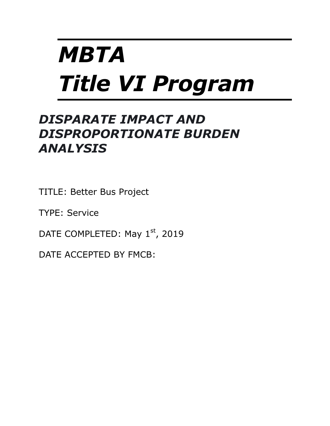# *MBTA Title VI Program*

# *DISPARATE IMPACT AND DISPROPORTIONATE BURDEN ANALYSIS*

TITLE: Better Bus Project

TYPE: Service

DATE COMPLETED: May 1<sup>st</sup>, 2019

DATE ACCEPTED BY FMCB: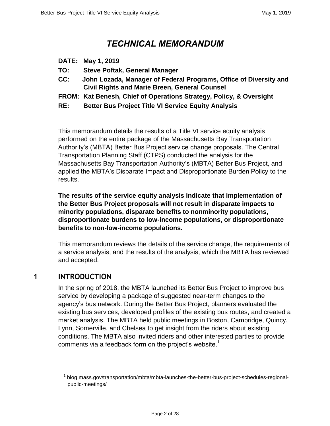# *TECHNICAL MEMORANDUM*

- **DATE: May 1, 2019**
- **TO: Steve Poftak, General Manager**
- **CC: John Lozada, Manager of Federal Programs, Office of Diversity and Civil Rights and Marie Breen, General Counsel**
- **FROM: Kat Benesh, Chief of Operations Strategy, Policy, & Oversight**
- **RE: Better Bus Project Title VI Service Equity Analysis**

This memorandum details the results of a Title VI service equity analysis performed on the entire package of the Massachusetts Bay Transportation Authority's (MBTA) Better Bus Project service change proposals. The Central Transportation Planning Staff (CTPS) conducted the analysis for the Massachusetts Bay Transportation Authority's (MBTA) Better Bus Project, and applied the MBTA's Disparate Impact and Disproportionate Burden Policy to the results.

**The results of the service equity analysis indicate that implementation of the Better Bus Project proposals will not result in disparate impacts to minority populations, disparate benefits to nonminority populations, disproportionate burdens to low-income populations, or disproportionate benefits to non-low-income populations.**

This memorandum reviews the details of the service change, the requirements of a service analysis, and the results of the analysis, which the MBTA has reviewed and accepted.

# **1 INTRODUCTION**

 $\overline{a}$ 

In the spring of 2018, the MBTA launched its Better Bus Project to improve bus service by developing a package of suggested near-term changes to the agency's bus network. During the Better Bus Project, planners evaluated the existing bus services, developed profiles of the existing bus routes, and created a market analysis. The MBTA held public meetings in Boston, Cambridge, Quincy, Lynn, Somerville, and Chelsea to get insight from the riders about existing conditions. The MBTA also invited riders and other interested parties to provide comments via a feedback form on the project's website.<sup>1</sup>

<sup>&</sup>lt;sup>1</sup> blog.mass.gov/transportation/mbta/mbta-launches-the-better-bus-project-schedules-regionalpublic-meetings/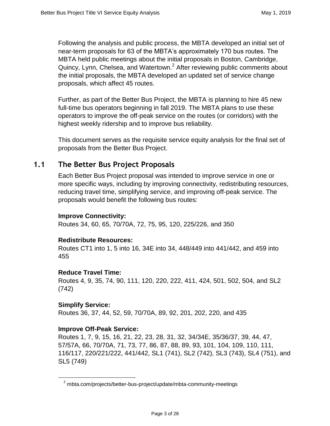Following the analysis and public process, the MBTA developed an initial set of near-term proposals for 63 of the MBTA's approximately 170 bus routes. The MBTA held public meetings about the initial proposals in Boston, Cambridge, Quincy, Lynn, Chelsea, and Watertown.<sup>2</sup> After reviewing public comments about the initial proposals, the MBTA developed an updated set of service change proposals, which affect 45 routes.

Further, as part of the Better Bus Project, the MBTA is planning to hire 45 new full-time bus operators beginning in fall 2019. The MBTA plans to use these operators to improve the off-peak service on the routes (or corridors) with the highest weekly ridership and to improve bus reliability.

This document serves as the requisite service equity analysis for the final set of proposals from the Better Bus Project.

# **1.1 The Better Bus Project Proposals**

Each Better Bus Project proposal was intended to improve service in one or more specific ways, including by improving connectivity, redistributing resources, reducing travel time, simplifying service, and improving off-peak service. The proposals would benefit the following bus routes:

#### **Improve Connectivity:**

Routes 34, 60, 65, 70/70A, 72, 75, 95, 120, 225/226, and 350

#### **Redistribute Resources:**

Routes CT1 into 1, 5 into 16, 34E into 34, 448/449 into 441/442, and 459 into 455

#### **Reduce Travel Time:**

Routes 4, 9, 35, 74, 90, 111, 120, 220, 222, 411, 424, 501, 502, 504, and SL2 (742)

#### **Simplify Service:**

 $\overline{a}$ 

Routes 36, 37, 44, 52, 59, 70/70A, 89, 92, 201, 202, 220, and 435

#### **Improve Off-Peak Service:**

Routes 1, 7, 9, 15, 16, 21, 22, 23, 28, 31, 32, 34/34E, 35/36/37, 39, 44, 47, 57/57A, 66, 70/70A, 71, 73, 77, 86, 87, 88, 89, 93, 101, 104, 109, 110, 111, 116/117, 220/221/222, 441/442, SL1 (741), SL2 (742), SL3 (743), SL4 (751), and SL5 (749)

<sup>&</sup>lt;sup>2</sup> [mbta.com/projects/better-bus-project/update/mbta-community-meetings](https://www.mbta.com/projects/better-bus-project/update/mbta-community-meetings)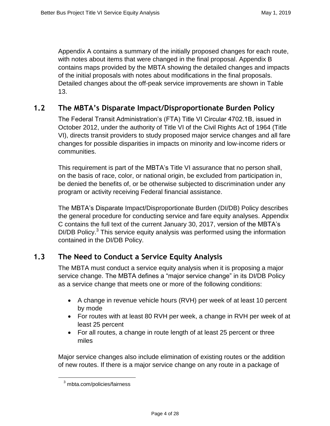Appendix A contains a summary of the initially proposed changes for each route, with notes about items that were changed in the final proposal. Appendix B contains maps provided by the MBTA showing the detailed changes and impacts of the initial proposals with notes about modifications in the final proposals. Detailed changes about the off-peak service improvements are shown in Table 13.

#### **1.2 The MBTA's Disparate Impact/Disproportionate Burden Policy**

The Federal Transit Administration's (FTA) Title VI Circular 4702.1B, issued in October 2012, under the authority of Title VI of the Civil Rights Act of 1964 (Title VI), directs transit providers to study proposed major service changes and all fare changes for possible disparities in impacts on minority and low-income riders or communities.

This requirement is part of the MBTA's Title VI assurance that no person shall, on the basis of race, color, or national origin, be excluded from participation in, be denied the benefits of, or be otherwise subjected to discrimination under any program or activity receiving Federal financial assistance.

The MBTA's Disparate Impact/Disproportionate Burden (DI/DB) Policy describes the general procedure for conducting service and fare equity analyses. Appendix C contains the full text of the current January 30, 2017, version of the MBTA's  $DI/DB$  Policy. $3$  This service equity analysis was performed using the information contained in the DI/DB Policy.

# **1.3 The Need to Conduct a Service Equity Analysis**

The MBTA must conduct a service equity analysis when it is proposing a major service change. The MBTA defines a "major service change" in its DI/DB Policy as a service change that meets one or more of the following conditions:

- A change in revenue vehicle hours (RVH) per week of at least 10 percent by mode
- For routes with at least 80 RVH per week, a change in RVH per week of at least 25 percent
- For all routes, a change in route length of at least 25 percent or three miles

Major service changes also include elimination of existing routes or the addition of new routes. If there is a major service change on any route in a package of

 $\overline{a}$ 

<sup>3</sup> mbta.com/policies/fairness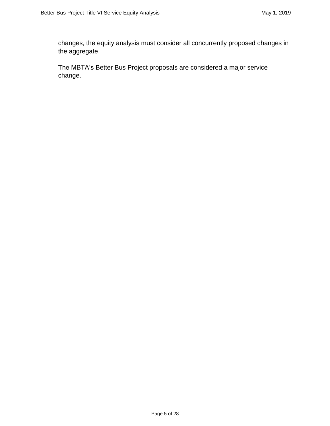changes, the equity analysis must consider all concurrently proposed changes in the aggregate.

The MBTA's Better Bus Project proposals are considered a major service change.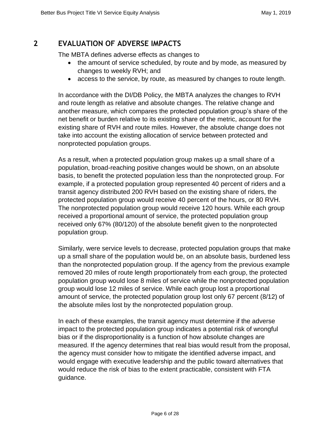# **2 EVALUATION OF ADVERSE IMPACTS**

The MBTA defines adverse effects as changes to

- the amount of service scheduled, by route and by mode, as measured by changes to weekly RVH; and
- access to the service, by route, as measured by changes to route length.

In accordance with the DI/DB Policy, the MBTA analyzes the changes to RVH and route length as relative and absolute changes. The relative change and another measure, which compares the protected population group's share of the net benefit or burden relative to its existing share of the metric, account for the existing share of RVH and route miles. However, the absolute change does not take into account the existing allocation of service between protected and nonprotected population groups.

As a result, when a protected population group makes up a small share of a population, broad-reaching positive changes would be shown, on an absolute basis, to benefit the protected population less than the nonprotected group. For example, if a protected population group represented 40 percent of riders and a transit agency distributed 200 RVH based on the existing share of riders, the protected population group would receive 40 percent of the hours, or 80 RVH. The nonprotected population group would receive 120 hours. While each group received a proportional amount of service, the protected population group received only 67% (80/120) of the absolute benefit given to the nonprotected population group.

Similarly, were service levels to decrease, protected population groups that make up a small share of the population would be, on an absolute basis, burdened less than the nonprotected population group. If the agency from the previous example removed 20 miles of route length proportionately from each group, the protected population group would lose 8 miles of service while the nonprotected population group would lose 12 miles of service. While each group lost a proportional amount of service, the protected population group lost only 67 percent (8/12) of the absolute miles lost by the nonprotected population group.

In each of these examples, the transit agency must determine if the adverse impact to the protected population group indicates a potential risk of wrongful bias or if the disproportionality is a function of how absolute changes are measured. If the agency determines that real bias would result from the proposal, the agency must consider how to mitigate the identified adverse impact, and would engage with executive leadership and the public toward alternatives that would reduce the risk of bias to the extent practicable, consistent with FTA guidance.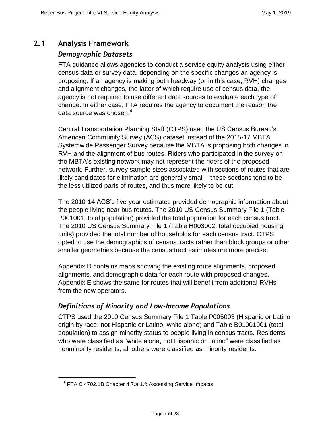# **2.1 Analysis Framework**

## *Demographic Datasets*

FTA guidance allows agencies to conduct a service equity analysis using either census data or survey data, depending on the specific changes an agency is proposing. If an agency is making both headway (or in this case, RVH) changes and alignment changes, the latter of which require use of census data, the agency is not required to use different data sources to evaluate each type of change. In either case, FTA requires the agency to document the reason the data source was chosen. 4

Central Transportation Planning Staff (CTPS) used the US Census Bureau's American Community Survey (ACS) dataset instead of the 2015-17 MBTA Systemwide Passenger Survey because the MBTA is proposing both changes in RVH and the alignment of bus routes. Riders who participated in the survey on the MBTA's existing network may not represent the riders of the proposed network. Further, survey sample sizes associated with sections of routes that are likely candidates for elimination are generally small—these sections tend to be the less utilized parts of routes, and thus more likely to be cut.

The 2010-14 ACS's five-year estimates provided demographic information about the people living near bus routes. The 2010 US Census Summary File 1 (Table P001001: total population) provided the total population for each census tract. The 2010 US Census Summary File 1 (Table H003002: total occupied housing units) provided the total number of households for each census tract. CTPS opted to use the demographics of census tracts rather than block groups or other smaller geometries because the census tract estimates are more precise.

Appendix D contains maps showing the existing route alignments, proposed alignments, and demographic data for each route with proposed changes. Appendix E shows the same for routes that will benefit from additional RVHs from the new operators.

# *Definitions of Minority and Low-Income Populations*

CTPS used the 2010 Census Summary File 1 Table P005003 (Hispanic or Latino origin by race: not Hispanic or Latino, white alone) and Table B01001001 (total population) to assign minority status to people living in census tracts. Residents who were classified as "white alone, not Hispanic or Latino" were classified as nonminority residents; all others were classified as minority residents.

 $\overline{a}$ 

 $4$  FTA C 4702.1B Chapter 4.7.a.1.f: Assessing Service Impacts.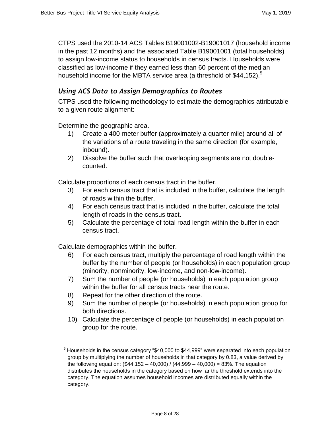CTPS used the 2010-14 ACS Tables B19001002-B19001017 (household income in the past 12 months) and the associated Table B19001001 (total households) to assign low-income status to households in census tracts. Households were classified as low-income if they earned less than 60 percent of the median household income for the MBTA service area (a threshold of  $$44,152$ ).<sup>5</sup>

## *Using ACS Data to Assign Demographics to Routes*

CTPS used the following methodology to estimate the demographics attributable to a given route alignment:

Determine the geographic area.

- 1) Create a 400-meter buffer (approximately a quarter mile) around all of the variations of a route traveling in the same direction (for example, inbound).
- 2) Dissolve the buffer such that overlapping segments are not doublecounted.

Calculate proportions of each census tract in the buffer.

- 3) For each census tract that is included in the buffer, calculate the length of roads within the buffer.
- 4) For each census tract that is included in the buffer, calculate the total length of roads in the census tract.
- 5) Calculate the percentage of total road length within the buffer in each census tract.

Calculate demographics within the buffer.

 $\overline{a}$ 

- 6) For each census tract, multiply the percentage of road length within the buffer by the number of people (or households) in each population group (minority, nonminority, low-income, and non-low-income).
- 7) Sum the number of people (or households) in each population group within the buffer for all census tracts near the route.
- 8) Repeat for the other direction of the route.
- 9) Sum the number of people (or households) in each population group for both directions.
- 10) Calculate the percentage of people (or households) in each population group for the route.

 $<sup>5</sup>$  Households in the census category "\$40,000 to \$44,999" were separated into each population</sup> group by multiplying the number of households in that category by 0.83, a value derived by the following equation:  $(\$44,152 - 40,000) / (44,999 - 40,000) = 83\%$ . The equation distributes the households in the category based on how far the threshold extends into the category. The equation assumes household incomes are distributed equally within the category.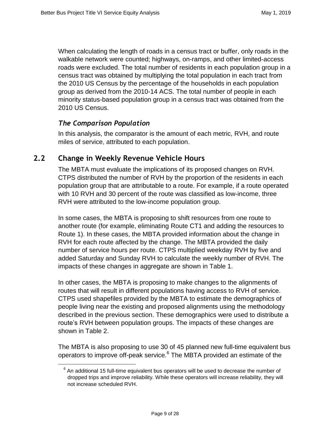When calculating the length of roads in a census tract or buffer, only roads in the walkable network were counted; highways, on-ramps, and other limited-access roads were excluded. The total number of residents in each population group in a census tract was obtained by multiplying the total population in each tract from the 2010 US Census by the percentage of the households in each population group as derived from the 2010-14 ACS. The total number of people in each minority status-based population group in a census tract was obtained from the 2010 US Census.

#### *The Comparison Population*

 $\overline{a}$ 

In this analysis, the comparator is the amount of each metric, RVH, and route miles of service, attributed to each population.

#### **2.2 Change in Weekly Revenue Vehicle Hours**

The MBTA must evaluate the implications of its proposed changes on RVH. CTPS distributed the number of RVH by the proportion of the residents in each population group that are attributable to a route. For example, if a route operated with 10 RVH and 30 percent of the route was classified as low-income, three RVH were attributed to the low-income population group.

In some cases, the MBTA is proposing to shift resources from one route to another route (for example, eliminating Route CT1 and adding the resources to Route 1). In these cases, the MBTA provided information about the change in RVH for each route affected by the change. The MBTA provided the daily number of service hours per route. CTPS multiplied weekday RVH by five and added Saturday and Sunday RVH to calculate the weekly number of RVH. The impacts of these changes in aggregate are shown in Table 1.

In other cases, the MBTA is proposing to make changes to the alignments of routes that will result in different populations having access to RVH of service. CTPS used shapefiles provided by the MBTA to estimate the demographics of people living near the existing and proposed alignments using the methodology described in the previous section. These demographics were used to distribute a route's RVH between population groups. The impacts of these changes are shown in Table 2.

The MBTA is also proposing to use 30 of 45 planned new full-time equivalent bus operators to improve off-peak service.<sup>6</sup> The MBTA provided an estimate of the

 $6$  An additional 15 full-time equivalent bus operators will be used to decrease the number of dropped trips and improve reliability. While these operators will increase reliability, they will not increase scheduled RVH.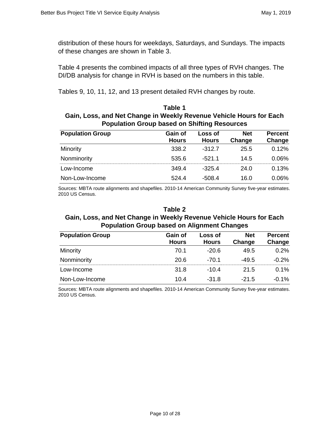distribution of these hours for weekdays, Saturdays, and Sundays. The impacts of these changes are shown in Table 3.

Table 4 presents the combined impacts of all three types of RVH changes. The DI/DB analysis for change in RVH is based on the numbers in this table.

Tables 9, 10, 11, 12, and 13 present detailed RVH changes by route.

#### **Table 1 Gain, Loss, and Net Change in Weekly Revenue Vehicle Hours for Each Population Group based on Shifting Resources**

| <b>Population Group</b> | Gain of<br><b>Hours</b> | Loss of<br><b>Hours</b> | <b>Net</b><br>Change | <b>Percent</b><br>Change |
|-------------------------|-------------------------|-------------------------|----------------------|--------------------------|
| Minority                | 338.2                   | $-312.7$                | 25.5                 | 0.12%                    |
| Nonminority             | 535.6                   | $-521.1$                | 14.5                 | $0.06\%$                 |
| Low-Income              | 349.4                   | $-325.4$                | 24.0                 | 0.13%                    |
| Non-Low-Income          | 524.4                   | -508.4                  | 16.0                 | $0.06\%$                 |

Sources: MBTA route alignments and shapefiles. 2010-14 American Community Survey five-year estimates. 2010 US Census.

#### **Table 2**

#### **Gain, Loss, and Net Change in Weekly Revenue Vehicle Hours for Each Population Group based on Alignment Changes**

| <b>Population Group</b> | Gain of<br><b>Hours</b> | Loss of<br><b>Hours</b> | <b>Net</b><br>Change | <b>Percent</b><br>Change |
|-------------------------|-------------------------|-------------------------|----------------------|--------------------------|
| Minority                | 70.1                    | $-20.6$                 | 49.5                 | 0.2%                     |
| Nonminority             | 20.6                    | $-70.1$                 | $-49.5$              | $-0.2\%$                 |
| Low-Income              | 31.8                    | $-10.4$                 | 21.5                 | $0.1\%$                  |
| Non-Low-Income          | 10.4                    | $-31.8$                 | $-21.5$              | $-0.1\%$                 |

Sources: MBTA route alignments and shapefiles. 2010-14 American Community Survey five-year estimates. 2010 US Census.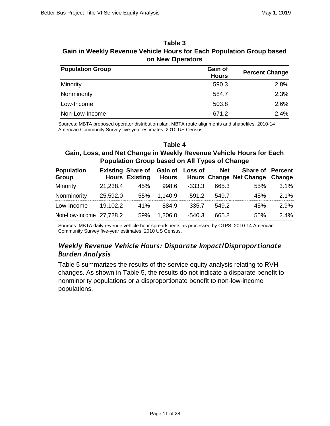| Table 3                                                              |
|----------------------------------------------------------------------|
| Gain in Weekly Revenue Vehicle Hours for Each Population Group based |
| on New Operators                                                     |

| <b>Population Group</b> | Gain of<br><b>Hours</b> | <b>Percent Change</b> |
|-------------------------|-------------------------|-----------------------|
| Minority                | 590.3                   | 2.8%                  |
| Nonminority             | 584.7                   | 2.3%                  |
| Low-Income              | 503.8                   | 2.6%                  |
| Non-Low-Income          | 671.2                   | 2.4%                  |

Sources: MBTA proposed operator distribution plan. MBTA route alignments and shapefiles. 2010-14 American Community Survey five-year estimates. 2010 US Census.

#### **Table 4 Gain, Loss, and Net Change in Weekly Revenue Vehicle Hours for Each Population Group based on All Types of Change**

| <b>Population</b>       |          | Existing Share of Gain of Loss of |         |          | Net   | <b>Share of Percent</b>              |         |
|-------------------------|----------|-----------------------------------|---------|----------|-------|--------------------------------------|---------|
| Group                   |          | <b>Hours Existing</b>             |         |          |       | Hours Hours Change Net Change Change |         |
| Minority                | 21,238.4 | 45%                               | 998.6   | $-333.3$ | 665.3 | 55%                                  | $3.1\%$ |
| Nonminority             | 25,592.0 | 55%                               | 1,140.9 | -591.2   | 549.7 | 45%                                  | 2.1%    |
| Low-Income              | 19.102.2 | 41%                               | 884.9   | $-335.7$ | 549.2 | 45%                                  | 2.9%    |
| Non-Low-Income 27,728.2 |          | 59%                               | 1,206.0 | -540.3   | 665.8 | 55%                                  | $2.4\%$ |

Sources: MBTA daily revenue vehicle hour spreadsheets as processed by CTPS. 2010-14 American Community Survey five-year estimates. 2010 US Census.

#### *Weekly Revenue Vehicle Hours: Disparate Impact/Disproportionate Burden Analysis*

Table 5 summarizes the results of the service equity analysis relating to RVH changes. As shown in Table 5, the results do not indicate a disparate benefit to nonminority populations or a disproportionate benefit to non-low-income populations.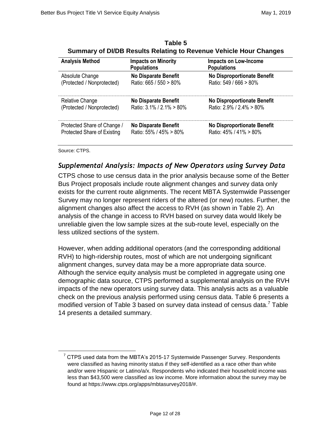| <b>Analysis Method</b>      | <b>Impacts on Minority</b><br><b>Populations</b> | Impacts on Low-Income<br><b>Populations</b> |
|-----------------------------|--------------------------------------------------|---------------------------------------------|
| Absolute Change             | <b>No Disparate Benefit</b>                      | <b>No Disproportionate Benefit</b>          |
| (Protected / Nonprotected)  | Ratio: 665 / 550 > 80%                           | Ratio: 549 / 666 > 80%                      |
| <b>Relative Change</b>      | <b>No Disparate Benefit</b>                      | <b>No Disproportionate Benefit</b>          |
| (Protected / Nonprotected)  | Ratio: 3.1% / 2.1% > 80%                         | Ratio: $2.9\%$ / $2.4\%$ > 80%              |
| Protected Share of Change / | <b>No Disparate Benefit</b>                      | <b>No Disproportionate Benefit</b>          |
| Protected Share of Existing | Ratio: 55% / 45% > 80%                           | Ratio: 45% / 41% > 80%                      |

**Table 5 Summary of DI/DB Results Relating to Revenue Vehicle Hour Changes**

Source: CTPS.

 $\overline{a}$ 

# *Supplemental Analysis: Impacts of New Operators using Survey Data*

CTPS chose to use census data in the prior analysis because some of the Better Bus Project proposals include route alignment changes and survey data only exists for the current route alignments. The recent MBTA Systemwide Passenger Survey may no longer represent riders of the altered (or new) routes. Further, the alignment changes also affect the access to RVH (as shown in Table 2). An analysis of the change in access to RVH based on survey data would likely be unreliable given the low sample sizes at the sub-route level, especially on the less utilized sections of the system.

However, when adding additional operators (and the corresponding additional RVH) to high-ridership routes, most of which are not undergoing significant alignment changes, survey data may be a more appropriate data source. Although the service equity analysis must be completed in aggregate using one demographic data source, CTPS performed a supplemental analysis on the RVH impacts of the new operators using survey data. This analysis acts as a valuable check on the previous analysis performed using census data. Table 6 presents a modified version of Table 3 based on survey data instead of census data.<sup>7</sup> Table 14 presents a detailed summary.

 $7$  CTPS used data from the MBTA's 2015-17 Systemwide Passenger Survey. Respondents were classified as having minority status if they self-identified as a race other than white and/or were Hispanic or Latino/a/x. Respondents who indicated their household income was less than \$43,500 were classified as low income. More information about the survey may be found at https://www.ctps.org/apps/mbtasurvey2018/#.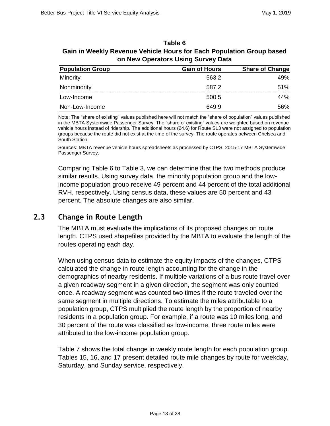| Table 6                                                              |
|----------------------------------------------------------------------|
| Gain in Weekly Revenue Vehicle Hours for Each Population Group based |
| on New Operators Using Survey Data                                   |

| <b>Population Group</b> | <b>Gain of Hours</b> | <b>Share of Change</b> |
|-------------------------|----------------------|------------------------|
| Minority                | 563.2                | 49%                    |
| Nonminority             | 587.2                | 51%                    |
| Low-Income              | 500.5                | 44%                    |
| Non-Low-Income          | 649.9                | .56%                   |

Note: The "share of existing" values published here will not match the "share of population" values published in the MBTA Systemwide Passenger Survey. The "share of existing" values are weighted based on revenue vehicle hours instead of ridership. The additional hours (24.6) for Route SL3 were not assigned to population groups because the route did not exist at the time of the survey. The route operates between Chelsea and South Station.

Sources: MBTA revenue vehicle hours spreadsheets as processed by CTPS. 2015-17 MBTA Systemwide Passenger Survey.

Comparing Table 6 to Table 3, we can determine that the two methods produce similar results. Using survey data, the minority population group and the lowincome population group receive 49 percent and 44 percent of the total additional RVH, respectively. Using census data, these values are 50 percent and 43 percent. The absolute changes are also similar.

# **2.3 Change in Route Length**

The MBTA must evaluate the implications of its proposed changes on route length. CTPS used shapefiles provided by the MBTA to evaluate the length of the routes operating each day.

When using census data to estimate the equity impacts of the changes, CTPS calculated the change in route length accounting for the change in the demographics of nearby residents. If multiple variations of a bus route travel over a given roadway segment in a given direction, the segment was only counted once. A roadway segment was counted two times if the route traveled over the same segment in multiple directions. To estimate the miles attributable to a population group, CTPS multiplied the route length by the proportion of nearby residents in a population group. For example, if a route was 10 miles long, and 30 percent of the route was classified as low-income, three route miles were attributed to the low-income population group.

Table 7 shows the total change in weekly route length for each population group. Tables 15, 16, and 17 present detailed route mile changes by route for weekday, Saturday, and Sunday service, respectively.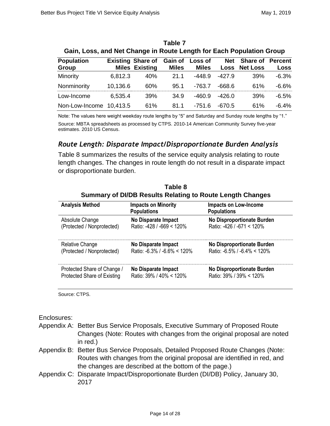| Gain, Loss, and Net Change in Route Length for Each Population Group |          |                                                   |                         |                         |            |                                  |                        |
|----------------------------------------------------------------------|----------|---------------------------------------------------|-------------------------|-------------------------|------------|----------------------------------|------------------------|
| <b>Population</b><br>Group                                           |          | <b>Existing Share of</b><br><b>Miles Existing</b> | Gain of<br><b>Miles</b> | Loss of<br><b>Miles</b> | <b>Net</b> | Share of<br><b>Loss Net Loss</b> | <b>Percent</b><br>Loss |
| Minority                                                             | 6,812.3  | 40%                                               | 21.1                    | $-448.9$                | $-427.9$   | 39%                              | $-6.3%$                |
| Nonminority                                                          | 10,136.6 | 60%                                               | 95.1                    | $-763.7$                | -668.6     | 61%                              | $-6.6\%$               |
| Low-Income                                                           | 6,535.4  | 39%                                               | 34.9                    | $-460.9$                | $-426.0$   | 39%                              | $-6.5%$                |
| Non-Low-Income                                                       | 10,413.5 | 61%                                               | 81.1                    | -751.6                  | -670.5     | 61%                              | $-6.4%$                |

| Table 7                                                              |  |
|----------------------------------------------------------------------|--|
| Gain, Loss, and Net Change in Route Length for Each Population Group |  |

Note: The values here weight weekday route lengths by "5" and Saturday and Sunday route lengths by "1." Source: MBTA spreadsheets as processed by CTPS. 2010-14 American Community Survey five-year estimates. 2010 US Census.

#### *Route Length: Disparate Impact/Disproportionate Burden Analysis*

Table 8 summarizes the results of the service equity analysis relating to route length changes. The changes in route length do not result in a disparate impact or disproportionate burden.

| <b>Analysis Method</b>      | <b>Impacts on Minority</b><br><b>Populations</b> | <b>Impacts on Low-Income</b><br><b>Populations</b> |
|-----------------------------|--------------------------------------------------|----------------------------------------------------|
| Absolute Change             | <b>No Disparate Impact</b>                       | <b>No Disproportionate Burden</b>                  |
| (Protected / Nonprotected)  | Ratio: -428 / -669 < 120%                        | Ratio: -426 / -671 < 120%                          |
| <b>Relative Change</b>      | No Disparate Impact                              | <b>No Disproportionate Burden</b>                  |
| (Protected / Nonprotected)  | Ratio: $-6.3\%$ / $-6.6\%$ < 120%                | Ratio: $-6.5\%$ / $-6.4\% < 120\%$                 |
| Protected Share of Change / | No Disparate Impact                              | No Disproportionate Burden                         |
| Protected Share of Existing | Ratio: 39% / 40% < 120%                          | Ratio: 39% / 39% < 120%                            |

**Table 8 Summary of DI/DB Results Relating to Route Length Changes**

Source: CTPS.

Enclosures:

- Appendix A: Better Bus Service Proposals, Executive Summary of Proposed Route Changes (Note: Routes with changes from the original proposal are noted in red.)
- Appendix B: Better Bus Service Proposals, Detailed Proposed Route Changes (Note: Routes with changes from the original proposal are identified in red, and the changes are described at the bottom of the page.)
- Appendix C: Disparate Impact/Disproportionate Burden (DI/DB) Policy, January 30, 2017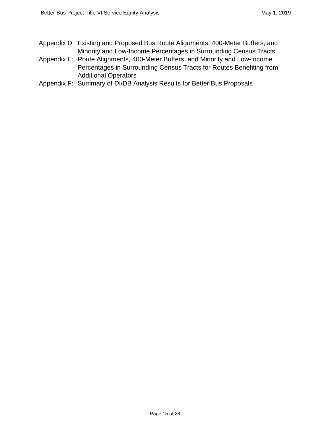- Appendix D: Existing and Proposed Bus Route Alignments, 400-Meter Buffers, and Minority and Low-Income Percentages in Surrounding Census Tracts
- Appendix E: Route Alignments, 400-Meter Buffers, and Minority and Low-Income Percentages in Surrounding Census Tracts for Routes Benefiting from Additional Operators
- Appendix F: Summary of DI/DB Analysis Results for Better Bus Proposals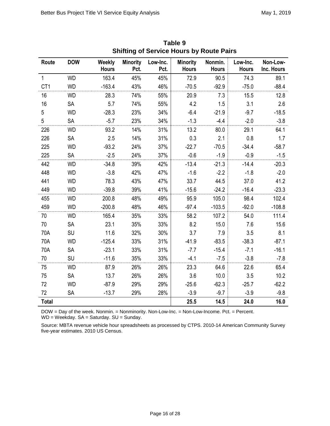| Route           | <b>DOW</b> | Weekly<br><b>Hours</b> | <b>Minority</b><br>Pct. | Low-Inc.<br>Pct. | <b>Minority</b><br><b>Hours</b> | Nonmin.<br><b>Hours</b> | Low-Inc.<br><b>Hours</b> | Non-Low-<br>Inc. Hours |
|-----------------|------------|------------------------|-------------------------|------------------|---------------------------------|-------------------------|--------------------------|------------------------|
| $\mathbf{1}$    | <b>WD</b>  | 163.4                  | 45%                     | 45%              | 72.9                            | 90.5                    | 74.3                     | 89.1                   |
|                 | <b>WD</b>  | $-163.4$               |                         |                  |                                 | $-92.9$                 |                          | $-88.4$                |
| CT <sub>1</sub> |            |                        | 43%                     | 46%              | $-70.5$                         |                         | $-75.0$                  |                        |
| 16              | <b>WD</b>  | 28.3                   | 74%                     | 55%              | 20.9                            | 7.3                     | 15.5                     | 12.8                   |
| 16              | SA         | 5.7                    | 74%                     | 55%              | 4.2                             | 1.5                     | 3.1                      | 2.6                    |
| 5               | <b>WD</b>  | $-28.3$                | 23%                     | 34%              | $-6.4$                          | $-21.9$                 | $-9.7$                   | $-18.5$                |
| 5               | SA         | $-5.7$                 | 23%                     | 34%              | $-1.3$                          | $-4.4$                  | $-2.0$                   | $-3.8$                 |
| 226             | <b>WD</b>  | 93.2                   | 14%                     | 31%              | 13.2                            | 80.0                    | 29.1                     | 64.1                   |
| 226             | SA         | 2.5                    | 14%                     | 31%              | 0.3                             | 2.1                     | 0.8                      | 1.7                    |
| 225             | <b>WD</b>  | $-93.2$                | 24%                     | 37%              | $-22.7$                         | $-70.5$                 | $-34.4$                  | $-58.7$                |
| 225             | SA         | $-2.5$                 | 24%                     | 37%              | $-0.6$                          | $-1.9$                  | $-0.9$                   | $-1.5$                 |
| 442             | <b>WD</b>  | $-34.8$                | 39%                     | 42%              | $-13.4$                         | $-21.3$                 | $-14.4$                  | $-20.3$                |
| 448             | <b>WD</b>  | $-3.8$                 | 42%                     | 47%              | $-1.6$                          | $-2.2$                  | $-1.8$                   | $-2.0$                 |
| 441             | <b>WD</b>  | 78.3                   | 43%                     | 47%              | 33.7                            | 44.5                    | 37.0                     | 41.2                   |
| 449             | <b>WD</b>  | $-39.8$                | 39%                     | 41%              | $-15.6$                         | $-24.2$                 | $-16.4$                  | $-23.3$                |
| 455             | <b>WD</b>  | 200.8                  | 48%                     | 49%              | 95.9                            | 105.0                   | 98.4                     | 102.4                  |
| 459             | <b>WD</b>  | $-200.8$               | 48%                     | 46%              | $-97.4$                         | $-103.5$                | $-92.0$                  | $-108.8$               |
| 70              | <b>WD</b>  | 165.4                  | 35%                     | 33%              | 58.2                            | 107.2                   | 54.0                     | 111.4                  |
| 70              | SA         | 23.1                   | 35%                     | 33%              | 8.2                             | 15.0                    | 7.6                      | 15.6                   |
| 70A             | SU         | 11.6                   | 32%                     | 30%              | 3.7                             | 7.9                     | 3.5                      | 8.1                    |
| 70A             | <b>WD</b>  | $-125.4$               | 33%                     | 31%              | $-41.9$                         | $-83.5$                 | $-38.3$                  | $-87.1$                |
| 70A             | SA         | $-23.1$                | 33%                     | 31%              | $-7.7$                          | $-15.4$                 | $-7.1$                   | $-16.1$                |
| 70              | SU         | $-11.6$                | 35%                     | 33%              | $-4.1$                          | $-7.5$                  | $-3.8$                   | $-7.8$                 |
| 75              | <b>WD</b>  | 87.9                   | 26%                     | 26%              | 23.3                            | 64.6                    | 22.6                     | 65.4                   |
| 75              | SA         | 13.7                   | 26%                     | 26%              | 3.6                             | 10.0                    | 3.5                      | 10.2                   |
| 72              | <b>WD</b>  | $-87.9$                | 29%                     | 29%              | $-25.6$                         | $-62.3$                 | $-25.7$                  | $-62.2$                |
| 72              | SA         | $-13.7$                | 29%                     | 28%              | $-3.9$                          | $-9.7$                  | $-3.9$                   | $-9.8$                 |
| <b>Total</b>    |            |                        |                         |                  | 25.5                            | 14.5                    | 24.0                     | 16.0                   |

**Table 9 Shifting of Service Hours by Route Pairs**

DOW = Day of the week. Nonmin. = Nonminority. Non-Low-Inc. = Non-Low-Income. Pct. = Percent.

WD = Weekday. SA = Saturday. SU = Sunday.

Source: MBTA revenue vehicle hour spreadsheets as processed by CTPS. 2010-14 American Community Survey five-year estimates. 2010 US Census.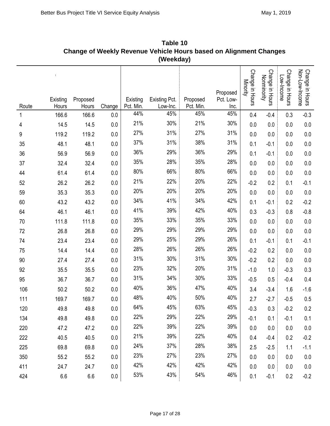|       |                        |                   |         |                       | (Weekday)                 |                       |                               |                             |                                |                               |                                   |
|-------|------------------------|-------------------|---------|-----------------------|---------------------------|-----------------------|-------------------------------|-----------------------------|--------------------------------|-------------------------------|-----------------------------------|
| Route | ÷<br>Existing<br>Hours | Proposed<br>Hours | Change  | Existing<br>Pct. Min. | Existing Pct.<br>Low-Inc. | Proposed<br>Pct. Min. | Proposed<br>Pct. Low-<br>Inc. | Change in Hours<br>Minority | Change in Hours<br>Nonminority | Change in Hours<br>Low-Income | Change in Hours<br>Non-Low-Income |
| 1     | 166.6                  | 166.6             | 0.0     | 44%                   | 45%                       | 45%                   | 45%                           | 0.4                         | $-0.4$                         | 0.3                           | $-0.3$                            |
| 4     | 14.5                   | 14.5              | 0.0     | 21%                   | 30%                       | 21%                   | 30%                           | 0.0                         | 0.0                            | 0.0                           | $0.0\,$                           |
| 9     | 119.2                  | 119.2             | 0.0     | 27%                   | 31%                       | 27%                   | 31%                           | 0.0                         | 0.0                            | 0.0                           | $0.0\,$                           |
| 35    | 48.1                   | 48.1              | $0.0\,$ | 37%                   | 31%                       | 38%                   | 31%                           | 0.1                         | $-0.1$                         | 0.0                           | 0.0                               |
| 36    | 56.9                   | 56.9              | $0.0\,$ | 36%                   | 29%                       | 36%                   | 29%                           | 0.1                         | $-0.1$                         | 0.0                           | 0.0                               |
| 37    | 32.4                   | 32.4              | $0.0\,$ | 35%                   | 28%                       | 35%                   | 28%                           | 0.0                         | 0.0                            | 0.0                           | 0.0                               |
| 44    | 61.4                   | 61.4              | $0.0\,$ | 80%                   | 66%                       | 80%                   | 66%                           | 0.0                         | 0.0                            | 0.0                           | $0.0\,$                           |
| 52    | 26.2                   | 26.2              | $0.0\,$ | 21%                   | 22%                       | 20%                   | 22%                           | $-0.2$                      | 0.2                            | 0.1                           | $-0.1$                            |
| 59    | 35.3                   | 35.3              | 0.0     | 20%                   | 20%                       | 20%                   | 20%                           | 0.0                         | 0.0                            | 0.0                           | $0.0\,$                           |
| 60    | 43.2                   | 43.2              | $0.0\,$ | 34%                   | 41%                       | 34%                   | 42%                           | 0.1                         | $-0.1$                         | 0.2                           | $-0.2$                            |
| 64    | 46.1                   | 46.1              | 0.0     | 41%                   | 39%                       | 42%                   | 40%                           | 0.3                         | $-0.3$                         | 0.8                           | $-0.8$                            |
| 70    | 111.8                  | 111.8             | $0.0\,$ | 35%                   | 33%                       | 35%                   | 33%                           | 0.0                         | 0.0                            | 0.0                           | 0.0                               |
| 72    | 26.8                   | 26.8              | 0.0     | 29%                   | 29%                       | 29%                   | 29%                           | 0.0                         | 0.0                            | 0.0                           | $0.0\,$                           |
| 74    | 23.4                   | 23.4              | $0.0\,$ | 29%                   | 25%                       | 29%                   | 26%                           | 0.1                         | $-0.1$                         | 0.1                           | $-0.1$                            |
| 75    | 14.4                   | 14.4              | $0.0\,$ | 28%                   | 26%                       | 26%                   | 26%                           | $-0.2$                      | 0.2                            | 0.0                           | $0.0\,$                           |
| 90    | 27.4                   | 27.4              | $0.0\,$ | 31%                   | 30%                       | 31%                   | 30%                           | $-0.2$                      | 0.2                            | 0.0                           | 0.0                               |
| 92    | 35.5                   | 35.5              | 0.0     | 23%                   | 32%                       | 20%                   | 31%                           | $-1.0$                      | 1.0                            | $-0.3$                        | 0.3                               |
| 95    | 36.7                   | 36.7              | 0.0     | 31%                   | 34%                       | 30%                   | 33%                           | $-0.5$                      | 0.5                            | $-0.4$                        | 0.4                               |
| 106   | 50.2                   | 50.2              | 0.0     | 40%                   | 36%                       | 47%                   | 40%                           | 3.4                         | $-3.4$                         | 1.6                           | $-1.6$                            |
| 111   | 169.7                  | 169.7             | 0.0     | 48%                   | 40%                       | 50%                   | 40%                           | 2.7                         | $-2.7$                         | $-0.5$                        | 0.5                               |
| 120   | 49.8                   | 49.8              | 0.0     | 64%                   | 45%                       | 63%                   | 45%                           | $-0.3$                      | 0.3                            | $-0.2$                        | 0.2                               |
| 134   | 49.8                   | 49.8              | 0.0     | 22%                   | 29%                       | 22%                   | 29%                           | $-0.1$                      | 0.1                            | $-0.1$                        | 0.1                               |
| 220   | 47.2                   | 47.2              | 0.0     | 22%                   | 39%                       | 22%                   | 39%                           | 0.0                         | 0.0                            | 0.0                           | 0.0                               |
| 222   | 40.5                   | 40.5              | 0.0     | 21%                   | 39%                       | 22%                   | 40%                           | 0.4                         | $-0.4$                         | 0.2                           | $-0.2$                            |
| 225   | 69.8                   | 69.8              | 0.0     | 24%                   | 37%                       | 28%                   | 38%                           | 2.5                         | $-2.5$                         | 1.1                           | $-1.1$                            |
| 350   | 55.2                   | 55.2              | 0.0     | 23%                   | 27%                       | 23%                   | 27%                           | 0.0                         | 0.0                            | 0.0                           | 0.0                               |
| 411   | 24.7                   | 24.7              | 0.0     | 42%                   | 42%                       | 42%                   | 42%                           | 0.0                         | 0.0                            | 0.0                           | 0.0                               |
| 424   | 6.6                    | $6.6\,$           | $0.0\,$ | 53%                   | 43%                       | 54%                   | 46%                           | 0.1                         | $-0.1$                         | 0.2                           | $-0.2$                            |

**Table 10 Change of Weekly Revenue Vehicle Hours based on Alignment Changes**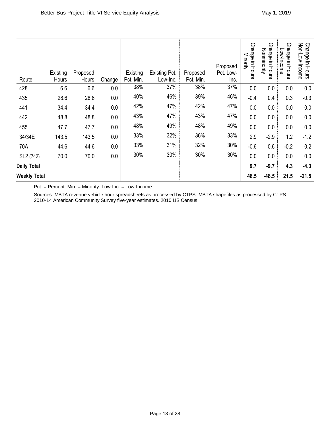| Route                 | Existing<br>Hours | Proposed<br>Hours | Change | Existing<br>Pct. Min. | <b>Existing Pct.</b><br>Low-Inc. | Proposed<br>Pct. Min. | Proposed<br>Pct. Low-<br>Inc. | <b>Change</b><br>Minority<br>in Hours | <b>Change</b><br>Nonminority<br>in Hours | <b>Change</b><br>Low-Income<br>in Hours | Non-Low-Income<br>Change in Hours |
|-----------------------|-------------------|-------------------|--------|-----------------------|----------------------------------|-----------------------|-------------------------------|---------------------------------------|------------------------------------------|-----------------------------------------|-----------------------------------|
| 428                   | 6.6               | 6.6               | 0.0    | 38%                   | 37%                              | 38%                   | 37%                           | 0.0                                   | 0.0                                      | 0.0                                     | 0.0                               |
| 435                   | 28.6              | 28.6              | 0.0    | 40%                   | 46%                              | 39%                   | 46%                           | $-0.4$                                | 0.4                                      | 0.3                                     | $-0.3$                            |
| 441                   | 34.4              | 34.4              | 0.0    | 42%                   | 47%                              | 42%                   | 47%                           | 0.0                                   | 0.0                                      | 0.0                                     | 0.0                               |
| 442                   | 48.8              | 48.8              | 0.0    | 43%                   | 47%                              | 43%                   | 47%                           | 0.0                                   | 0.0                                      | 0.0                                     | 0.0                               |
| 455                   | 47.7              | 47.7              | 0.0    | 48%                   | 49%                              | 48%                   | 49%                           | 0.0                                   | 0.0                                      | 0.0                                     | 0.0                               |
| 34/34E                | 143.5             | 143.5             | 0.0    | 33%                   | 32%                              | 36%                   | 33%                           | 2.9                                   | $-2.9$                                   | 1.2                                     | $-1.2$                            |
| 70A                   | 44.6              | 44.6              | 0.0    | 33%                   | 31%                              | 32%                   | 30%                           | $-0.6$                                | 0.6                                      | $-0.2$                                  | 0.2                               |
| SL <sub>2</sub> (742) | 70.0              | 70.0              | 0.0    | 30%                   | 30%                              | 30%                   | 30%                           | 0.0                                   | 0.0                                      | 0.0                                     | 0.0                               |
| <b>Daily Total</b>    |                   |                   |        |                       |                                  |                       |                               | 9.7                                   | $-9.7$                                   | 4.3                                     | $-4.3$                            |
| <b>Weekly Total</b>   |                   |                   |        |                       |                                  |                       |                               | 48.5                                  | $-48.5$                                  | 21.5                                    | $-21.5$                           |

Pct. = Percent. Min. = Minority. Low-Inc. = Low-Income.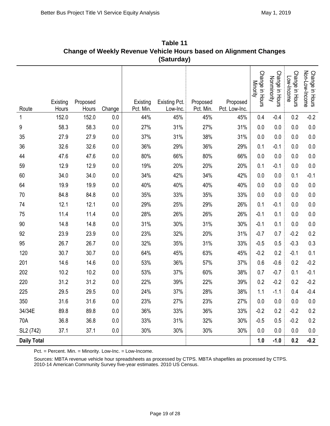|                    |                   |                   |         |                       | (Saturday)                |                       | Unange UI Weekly Revenue Venicle Hours Dased UIT Anghinent Unanges |                             |                                |                               |                                   |
|--------------------|-------------------|-------------------|---------|-----------------------|---------------------------|-----------------------|--------------------------------------------------------------------|-----------------------------|--------------------------------|-------------------------------|-----------------------------------|
| Route              | Existing<br>Hours | Proposed<br>Hours | Change  | Existing<br>Pct. Min. | Existing Pct.<br>Low-Inc. | Proposed<br>Pct. Min. | Proposed<br>Pct. Low-Inc.                                          | Change in Hours<br>Minority | Change in Hours<br>Nonminority | Change in Hours<br>Low-Income | Non-Low-Income<br>Change in Hours |
| 1                  | 152.0             | 152.0             | 0.0     | 44%                   | 45%                       | 45%                   | 45%                                                                | 0.4                         | $-0.4$                         | 0.2                           | $-0.2$                            |
| 9                  | 58.3              | 58.3              | 0.0     | 27%                   | 31%                       | 27%                   | 31%                                                                | 0.0                         | 0.0                            | 0.0                           | 0.0                               |
| 35                 | 27.9              | 27.9              | 0.0     | 37%                   | 31%                       | 38%                   | 31%                                                                | 0.0                         | 0.0                            | 0.0                           | 0.0                               |
| 36                 | 32.6              | 32.6              | 0.0     | 36%                   | 29%                       | 36%                   | 29%                                                                | 0.1                         | $-0.1$                         | 0.0                           | 0.0                               |
| 44                 | 47.6              | 47.6              | 0.0     | 80%                   | 66%                       | 80%                   | 66%                                                                | 0.0                         | 0.0                            | 0.0                           | 0.0                               |
| 59                 | 12.9              | 12.9              | 0.0     | 19%                   | 20%                       | 20%                   | 20%                                                                | 0.1                         | $-0.1$                         | 0.0                           | 0.0                               |
| 60                 | 34.0              | 34.0              | 0.0     | 34%                   | 42%                       | 34%                   | 42%                                                                | 0.0                         | 0.0                            | 0.1                           | $-0.1$                            |
| 64                 | 19.9              | 19.9              | 0.0     | 40%                   | 40%                       | 40%                   | 40%                                                                | 0.0                         | 0.0                            | 0.0                           | 0.0                               |
| 70                 | 84.8              | 84.8              | 0.0     | 35%                   | 33%                       | 35%                   | 33%                                                                | 0.0                         | 0.0                            | 0.0                           | 0.0                               |
| 74                 | 12.1              | 12.1              | 0.0     | 29%                   | 25%                       | 29%                   | 26%                                                                | 0.1                         | $-0.1$                         | 0.0                           | 0.0                               |
| 75                 | 11.4              | 11.4              | 0.0     | 28%                   | 26%                       | 26%                   | 26%                                                                | $-0.1$                      | 0.1                            | 0.0                           | 0.0                               |
| 90                 | 14.8              | 14.8              | 0.0     | 31%                   | 30%                       | 31%                   | 30%                                                                | $-0.1$                      | 0.1                            | 0.0                           | 0.0                               |
| 92                 | 23.9              | 23.9              | 0.0     | 23%                   | 32%                       | 20%                   | 31%                                                                | $-0.7$                      | 0.7                            | $-0.2$                        | 0.2                               |
| 95                 | 26.7              | 26.7              | 0.0     | 32%                   | 35%                       | 31%                   | 33%                                                                | $-0.5$                      | 0.5                            | $-0.3$                        | 0.3                               |
| 120                | 30.7              | 30.7              | 0.0     | 64%                   | 45%                       | 63%                   | 45%                                                                | $-0.2$                      | 0.2                            | $-0.1$                        | 0.1                               |
| 201                | 14.6              | 14.6              | 0.0     | 53%                   | 36%                       | 57%                   | 37%                                                                | 0.6                         | $-0.6$                         | 0.2                           | $-0.2$                            |
| 202                | 10.2              | 10.2              | 0.0     | 53%                   | 37%                       | 60%                   | 38%                                                                | 0.7                         | $-0.7$                         | 0.1                           | $-0.1$                            |
| 220                | 31.2              | 31.2              | 0.0     | 22%                   | 39%                       | 22%                   | 39%                                                                | 0.2                         | $-0.2$                         | 0.2                           | $-0.2$                            |
| 225                | 29.5              | 29.5              | $0.0\,$ | 24%                   | 37%                       | 28%                   | 38%                                                                | 1.1                         | $-1.1$                         | 0.4                           | $-0.4$                            |
| 350                | 31.6              | 31.6              | 0.0     | 23%                   | 27%                       | 23%                   | 27%                                                                | 0.0                         | 0.0                            | 0.0                           | 0.0                               |
| 34/34E             | 89.8              | 89.8              | 0.0     | 36%                   | 33%                       | 36%                   | 33%                                                                | $-0.2$                      | 0.2                            | $-0.2$                        | 0.2                               |
| 70A                | 36.8              | 36.8              | 0.0     | 33%                   | 31%                       | 32%                   | 30%                                                                | $-0.5$                      | 0.5                            | $-0.2$                        | 0.2                               |
| SL2 (742)          | 37.1              | 37.1              | 0.0     | 30%                   | 30%                       | 30%                   | 30%                                                                | 0.0                         | 0.0                            | 0.0                           | 0.0                               |
| <b>Daily Total</b> |                   |                   |         |                       |                           |                       |                                                                    | 1.0                         | $-1.0$                         | 0.2                           | $-0.2$                            |

**Table 11 Change of Weekly Revenue Vehicle Hours based on Alignment Changes** 

Pct. = Percent. Min. = Minority. Low-Inc. = Low-Income.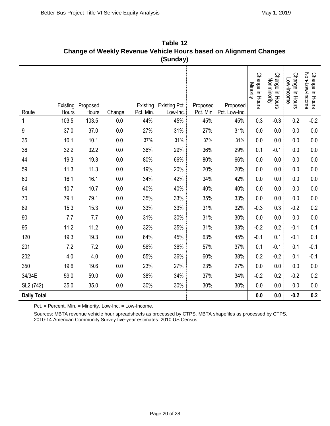|                    |                   |                   |         |           | (Sunday)                           |          |                                     |                             |                                |                               |                                   |
|--------------------|-------------------|-------------------|---------|-----------|------------------------------------|----------|-------------------------------------|-----------------------------|--------------------------------|-------------------------------|-----------------------------------|
| Route              | Existing<br>Hours | Proposed<br>Hours | Change  | Pct. Min. | Existing Existing Pct.<br>Low-Inc. | Proposed | Proposed<br>Pct. Min. Pct. Low-Inc. | Change in Hours<br>Minority | Change in Hours<br>Nonminority | Change in Hours<br>Low-Income | Change in Hours<br>Non-Low-Income |
| 1                  | 103.5             | 103.5             | 0.0     | 44%       | 45%                                | 45%      | 45%                                 | 0.3                         | $-0.3$                         | 0.2                           | $-0.2$                            |
| 9                  | 37.0              | 37.0              | 0.0     | 27%       | 31%                                | 27%      | 31%                                 | 0.0                         | 0.0                            | 0.0                           | 0.0                               |
| 35                 | 10.1              | 10.1              | 0.0     | 37%       | 31%                                | 37%      | 31%                                 | 0.0                         | 0.0                            | 0.0                           | 0.0                               |
| 36                 | 32.2              | 32.2              | 0.0     | 36%       | 29%                                | 36%      | 29%                                 | 0.1                         | $-0.1$                         | 0.0                           | 0.0                               |
| 44                 | 19.3              | 19.3              | $0.0\,$ | 80%       | 66%                                | 80%      | 66%                                 | 0.0                         | 0.0                            | 0.0                           | 0.0                               |
| 59                 | 11.3              | 11.3              | 0.0     | 19%       | 20%                                | 20%      | 20%                                 | 0.0                         | 0.0                            | 0.0                           | 0.0                               |
| 60                 | 16.1              | 16.1              | 0.0     | 34%       | 42%                                | 34%      | 42%                                 | 0.0                         | 0.0                            | 0.0                           | 0.0                               |
| 64                 | 10.7              | 10.7              | 0.0     | 40%       | 40%                                | 40%      | 40%                                 | 0.0                         | 0.0                            | 0.0                           | 0.0                               |
| 70                 | 79.1              | 79.1              | $0.0\,$ | 35%       | 33%                                | 35%      | 33%                                 | 0.0                         | 0.0                            | 0.0                           | 0.0                               |
| 89                 | 15.3              | 15.3              | 0.0     | 33%       | 33%                                | 31%      | 32%                                 | $-0.3$                      | 0.3                            | $-0.2$                        | 0.2                               |
| 90                 | 7.7               | 7.7               | 0.0     | 31%       | 30%                                | 31%      | 30%                                 | 0.0                         | 0.0                            | 0.0                           | 0.0                               |
| 95                 | 11.2              | 11.2              | 0.0     | 32%       | 35%                                | 31%      | 33%                                 | $-0.2$                      | 0.2                            | $-0.1$                        | 0.1                               |
| 120                | 19.3              | 19.3              | 0.0     | 64%       | 45%                                | 63%      | 45%                                 | $-0.1$                      | 0.1                            | $-0.1$                        | 0.1                               |
| 201                | 7.2               | 7.2               | 0.0     | 56%       | 36%                                | 57%      | 37%                                 | 0.1                         | $-0.1$                         | 0.1                           | $-0.1$                            |
| 202                | 4.0               | 4.0               | 0.0     | 55%       | 36%                                | 60%      | 38%                                 | 0.2                         | $-0.2$                         | 0.1                           | $-0.1$                            |
| 350                | 19.6              | 19.6              | 0.0     | 23%       | 27%                                | 23%      | 27%                                 | 0.0                         | 0.0                            | 0.0                           | 0.0                               |
| 34/34E             | 59.0              | 59.0              | 0.0     | 38%       | 34%                                | 37%      | 34%                                 | $-0.2$                      | 0.2                            | $-0.2$                        | 0.2                               |
| SL2 (742)          | 35.0              | 35.0              | 0.0     | 30%       | 30%                                | 30%      | 30%                                 | $0.0\,$                     | 0.0                            | 0.0                           | 0.0                               |
| <b>Daily Total</b> |                   |                   |         |           |                                    |          |                                     | 0.0                         | 0.0                            | $-0.2$                        | 0.2                               |

**Table 12 Change of Weekly Revenue Vehicle Hours based on Alignment Changes** 

Pct. = Percent. Min. = Minority. Low-Inc. = Low-Income.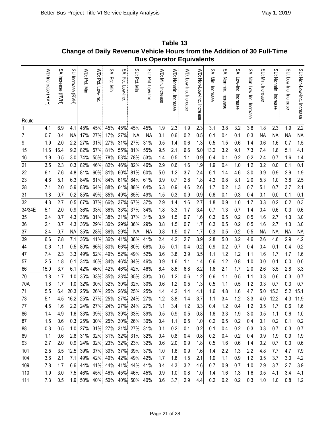|        |                   |                   |                   |              |                  |                             |                  |              |                 | <b>Bus Operator Equivalents</b> |                      |                       |                           |                   |                      |                          |                           |                   |                      |                       |                          |
|--------|-------------------|-------------------|-------------------|--------------|------------------|-----------------------------|------------------|--------------|-----------------|---------------------------------|----------------------|-----------------------|---------------------------|-------------------|----------------------|--------------------------|---------------------------|-------------------|----------------------|-----------------------|--------------------------|
| Route  | WD Increase (RVH) | SA Increase (RVH) | SU Increase (RVH) | WD: Pct. Min | WD: Pct. Low-Inc | SA: Pct. Min                | SA: Pct. Low-Inc | SU: Pct. Min | SU Pct. Low-Inc | WD: Min. Increase               | WD: Nonmin. Increase | WD: Low-Inc. Increase | WD: Non-Low-Inc. Increase | SA: Min. Increase | SA: Nonmin. Increase | SA: Low-Inc.<br>Increase | SA: Non-Low-Inc. Increase | SU: Min. Increase | SU. Nonmin. Increase | SU: Low-Inc. Increase | SU: Non-Low-Inc. Incease |
| 1      | 4.1               | 6.9               | 4.1               | 45%          | 45%              | 45%                         | 45%              | 45%          | 45%             | 1.9                             | 2.3                  | 1.9                   | 2.3                       | 3.1               | 3.8                  | 3.2                      | 3.8                       | 1.8               | 2.3                  | 1.9                   | 2.2                      |
| 7      | 0.7               | 0.4               | <b>NA</b>         | 17%          | 27%              | 17%                         | 27%              | <b>NA</b>    | NА              | 0.1                             | 0.6                  | 0.2                   | 0.5                       | 0.1               | 0.4                  | 0.1                      | 0.3                       | <b>NA</b>         | <b>NA</b>            | <b>NA</b>             | <b>NA</b>                |
| 9      | 1.9               | 2.0               | 2.2               | 27%          | 31%              | 27%                         | 31%              | 27%          | 31%             | 0.5                             | 1.4                  | 0.6                   | 1.3                       | 0.5               | 1.5                  | 0.6                      | 1.4                       | 0.6               | 1.6                  | 0.7                   | 1.5                      |
| 15     | 11.6              | 16.4              | 9.2               | 82%          | 57%              | 81%                         | 55%              | 81%          | 55%             | 9.5                             | 2.1                  | 6.6                   | 5.0                       | 13.2              | 3.2                  | 9.1                      | 7.3                       | 7.4               | 1.8                  | 5.1                   | 4.1                      |
| 16     | 1.9               | 0.5               | 3.0               | 74%          | 55%              | 78%                         | 53%              | 78%          | 53%             | 1.4                             | 0.5                  | 1.1                   | 0.9                       | 0.4               | 0.1                  | 0.2                      | 0.2                       | 2.4               | 0.7                  | 1.6                   | 1.4                      |
| 21     | 3.5               | 2.3               | 0.3               | 82%          | 46%              | 82%                         | 46%              | 82%          | 46%             | 2.9                             | 0.6                  | 1.6                   | 1.9                       | 1.9               | 0.4                  | 1.0                      | 1.2                       | 0.2               | 0.0                  | 0.1                   | 0.1                      |
| 22     | 6.1               | 7.6               | 4.8               | 81%          | 60%              | 81%                         | 60%              | 81%          | 60%             | 5.0                             | 1.2                  | 3.7                   | 2.4                       | 6.1               | 1.4                  | 4.6                      | 3.0                       | 3.9               | 0.9                  | 2.9                   | 1.9                      |
| 23     | 4.6               | 5.1               | 6.3               | 84%          | 61%              | 84%                         | 61%              | 84%          | 61%             | 3.9                             | 0.7                  | 2.8                   | 1.8                       | 4.3               | 0.8                  | 3.1                      | 2.0                       | 5.3               | 1.0                  | 3.8                   | 2.5                      |
| 28     | 7.1               | 2.0               | 5.9               | 88%          | 64%              | 88%                         | 64%              | 88%          | 64%             | 6.3                             | 0.9                  | 4.6                   | 2.6                       | 1.7               | 0.2                  | 1.3                      | 0.7                       | 5.1               | 0.7                  | 3.7                   | 2.1                      |
| 31     | 1.8               | 0.7               | 0.2               | 85%          | 49%              | 85%                         | 49%              | 85%          | 49%             | 1.5                             | 0.3                  | 0.9                   | 0.9                       | 0.6               | 0.1                  | 0.3                      | 0.4                       | 0.1               | 0.0                  | 0.1                   | 0.1                      |
| 32     | 4.3               | 2.7               | 0.5               | 67%          | 37%              | 66%                         | 37%              | 67%          | 37%             | 2.9                             | 1.4                  | 1.6                   | 2.7                       | 1.8               | 0.9                  | 1.0                      | 1.7                       | 0.3               | 0.2                  | 0.2                   | 0.3                      |
| 34/34E | 5.1               | 2.0               | 0.9               | 36%          | 33%              | 36%                         | 33%              | 37%          | 34%             | 1.8                             | 3.3                  | 1.7                   | 3.4                       | 0.7               | 1.3                  | 0.7                      | 1.4                       | 0.4               | 0.6                  | 0.3                   | 0.6                      |
| 35     | 2.4               | 0.7               | 4.3               | 38%          | 31%              | 38%                         | 31%              | 37%          | 31%             | 0.9                             | 1.5                  | 0.7                   | 1.6                       | 0.3               | 0.5                  | 0.2                      | 0.5                       | 1.6               | 2.7                  | 1.3                   | 3.0                      |
| 36     | 2.4               | 0.7               | 4.3               | 36%          | 29%              | 36%                         | 29%              | 36%          | 29%             | 0.8                             | 1.5                  | 0.7                   | 1.7                       | 0.3               | 0.5                  | 0.2                      | 0.5                       | 1.6               | 2.7                  | 1.3                   | 3.0                      |
| 37     | 2.4               | 0.7               | NA                | 35%          | 28%              | 36%                         | 29%              | <b>NA</b>    | <b>NA</b>       | 0.8                             | 1.5                  | 0.7                   | 1.7                       | 0.3               | 0.5                  | 0.2                      | 0.5                       | <b>NA</b>         | <b>NA</b>            | <b>NA</b>             | <b>NA</b>                |
| 39     | 6.6               | 7.8               | 7.1               | 36%          | 41%              | 36%                         | 41%              | 36%          | 41%             | 2.4                             | 4.2                  | 2.7                   | 3.9                       | 2.8               | 5.0                  | 3.2                      | 4.6                       | 2.6               | 4.6                  | 2.9                   | 4.2                      |
| 44     | 0.6               | 1.1               | 0.5               | 80%          | 66%              | 80%                         | 66%              | 80%          | 66%             | 0.5                             | 0.1                  | 0.4                   | 0.2                       | 0.9               | 0.2                  | 0.7                      | 0.4                       | 0.4               | 0.1                  | 0.4                   | 0.2                      |
| 47     | 7.4               | 2.3               | 3.3               | 49%          | 52%              | 49%                         | 52%              | 49%          | 52%             | 3.6                             | 3.8                  | 3.9                   | 3.5                       | 1.1               | 1.2                  | 1.2                      | 1.1                       | 1.6               | 1.7                  | 1.7                   | 1.6                      |
| 57     | 2.5               | 1.8               | 0.1               | 34%          | 46%              | 34%                         | 46%              | 34%          | 46%             | 0.9                             | 1.6                  | 1.1                   | 1.4                       | 0.6               | 1.2                  | 0.8                      | 1.0                       | 0.0               | 0.1                  | 0.0                   | 0.0                      |
| 66     | 15.0              | 3.7               | 6.1               | 42%          | 46%              | 42%                         | 46%              | 42%          | 46%             | 6.4                             | 8.6                  | 6.8                   | 8.2                       | 1.6               | 2.1                  | 1.7                      | 2.0                       | 2.6               | 3.5                  | 2.8                   | 3.3                      |
| 70     | 1.8               | 1.7               | 1.0               | 35%          | 33%              | 35%                         | 33%              | 35%          | 33%             | 0.6                             | 1.2                  | 0.6                   | 1.2                       | 0.6               | 1.1                  | 0.5                      | 1.1                       | 0.3               | 0.6                  | 0.3                   | 0.7                      |
| 70A    | 1.8               | 1.7               | 1.0               | 32%          | 30%              | 32%                         | 30%              | 32%          | 30%             | 0.6                             | 1.2                  | 0.5                   | 1.3                       | 0.5               | 1.1                  | 0.5                      | 1.2                       | 0.3               | 0.7                  | 0.3                   | 0.7                      |
| 71     | 5.5               | 6.4               | 20.3              | 25%          | 26%              | 25%                         | 26%              | 25%          | 25%             | 1.4                             | 4.2                  | 1.4                   | 4.1                       | 1.6               | 4.8                  | 1.6                      | 4.7                       | 5.0               | 15.3                 | 5.2                   | 15.1                     |
| 73     | 5.1               | 4.5               | 16.2              |              |                  | 25% 27% 25% 27% 24% 27%     |                  |              |                 | 1.2                             | 3.8                  | 1.4                   | 3.7                       | 1.1               | 3.4                  | 1.2                      | 3.3                       |                   | 4.0 12.2             | 4.3                   | 11.9                     |
| 77     | 4.5               | 1.6               | 2.2               |              |                  | 24% 27% 24% 27%             |                  |              | 24% 27%         | 1.1                             | 3.4                  | 1.2                   | 3.3                       | 0.4               | 1.2                  | 0.4                      | 1.2                       | 0.5               | 1.7                  | 0.6                   | 1.6                      |
| 86     | 1.4               | 4.9               | 1.6               |              |                  | 33% 39% 33% 39%             |                  |              | 33% 39%         | 0.5                             | 0.9                  | 0.5                   | 0.8                       | 1.6               | 3.3                  | 1.9                      | 3.0                       | 0.5               | 1.1                  | 0.6                   | 1.0                      |
| 87     | 1.5               | 0.6               | 0.3               |              | 25% 30%          |                             | 25% 30%          |              | 26% 30%         | 0.4                             | 1.1                  | 0.5                   | 1.0                       | 0.2               | 0.5                  | 0.2                      | 0.4                       | 0.1               | 0.2                  | 0.1                   | 0.2                      |
| 88     | 0.3               | 0.5               | 1.0               |              | 27% 31%          |                             | 27% 31%          |              | 27% 31%         | 0.1                             | 0.2                  | 0.1                   | 0.2                       | 0.1               | 0.4                  | 0.2                      | 0.3                       | 0.3               | 0.7                  | 0.3                   | 0.7                      |
| 89     | 1.1               | 0.6               | 2.8               |              | 31% 32%          | 31% 32%                     |                  |              | 31% 32%         | 0.4                             | 0.8                  | 0.4                   | 0.8                       | 0.2               | 0.4                  | 0.2                      | 0.4                       | 0.9               | 1.9                  | 0.9                   | 1.9                      |
| 93     | 2.7               | 2.0               | 0.9               |              | 24% 32%          |                             | 23% 32%          |              | 23% 32%         | 0.6                             | 2.0                  | 0.9                   | 1.8                       | 0.5               | 1.6                  | 0.6                      | 1.4                       | 0.2               | 0.7                  | 0.3                   | 0.6                      |
| 101    | 2.5               | 3.5               | 12.5              |              | 39% 37%          | 39% 37%                     |                  |              | 39% 37%         | 1.0                             | 1.6                  | 0.9                   | 1.6                       | 1.4               | 2.2                  | 1.3                      | 2.2                       | 4.8               | 7.7                  | 4.7                   | 7.9                      |
| 104    | 3.6               | 2.1               | 7.1               | 49%          | 42%              | 49% 42%                     |                  |              | 49% 42%         | 1.7                             | 1.8                  | 1.5                   | 2.1                       | 1.0               | 1.1                  | 0.9                      | 1.2                       | 3.5               | 3.7                  | 3.0                   | 4.2                      |
| 109    | 7.8               | 1.7               | 6.6               |              | 44% 41%          |                             | 44% 41%          |              | 44% 41%         | 3.4                             | 4.3                  | 3.2                   | 4.6                       | 0.7               | 0.9                  | 0.7                      | 1.0                       | 2.9               | 3.7                  | 2.7                   | 3.9                      |
| 110    | 1.9               | 3.0               | 7.5               |              |                  | 46% 45% 46% 45%             |                  |              | 46% 45%         | 0.9                             | 1.0                  | 0.8                   | 1.0                       | 1.4               | 1.6                  | 1.3                      | 1.6                       | 3.5               | 4.1                  | 3.4                   | 4.1                      |
| 111    | 7.3               | 0.5               |                   |              |                  | 1.9 50% 40% 50% 40% 50% 40% |                  |              |                 | 3.6                             | 3.7                  | 2.9                   | 4.4                       | 0.2               | 0.2                  | 0.2                      | 0.3                       | 1.0               | 1.0                  | 0.8                   | 1.2                      |

**Table 13 Change of Daily Revenue Vehicle Hours from the Addition of 30 Full-Time**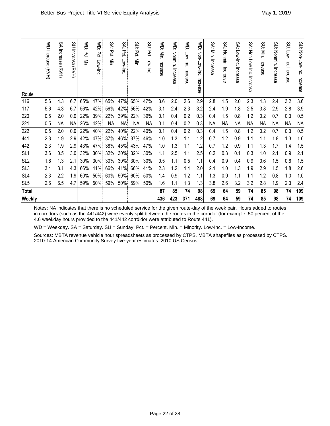|                 | WD Increase (RVH) | SA Increase (RVH) | <b>SU Increase</b><br><b>EVH)</b> | $\mathsf{S}$<br>Pct. Min | $\mathsf{M}$<br>Pct. Low-Inc | Ş<br>Pct. Min | SA:<br>Pct. Low-Inc | SU Pct. Mir | SJ.<br>Pd.<br>Low-Inc | VVD: Min.<br>Increase | $\lessgtr$<br>Nonmin. Increase | $\leq$<br>Low-Inc.<br>Increase | WD: Non-Low-Inc. Increase | SA: Min. Increase | Şξ<br>Nonmin. Increase | ŠΑ.<br>Low-Inc. Increase | SA:<br>Non-Low-Inc.<br>Increase | SU: Min. Increase | SU: Nonmin. Increase | SU: Low-Inc. Increase | SU: Non-Low-Inc. Increase |
|-----------------|-------------------|-------------------|-----------------------------------|--------------------------|------------------------------|---------------|---------------------|-------------|-----------------------|-----------------------|--------------------------------|--------------------------------|---------------------------|-------------------|------------------------|--------------------------|---------------------------------|-------------------|----------------------|-----------------------|---------------------------|
| Route           |                   |                   |                                   |                          |                              |               |                     |             |                       |                       |                                |                                |                           |                   |                        |                          |                                 |                   |                      |                       |                           |
| 116             | 5.6               | 4.3               | 6.7                               | 65%                      | 47%                          | 65%           | 47%                 | 65%         | 47%                   | 3.6                   | 2.0                            | 2.6                            | 2.9                       | 2.8               | 1.5                    | 2.0                      | 2.3                             | 4.3               | 2.4                  | 3.2                   | 3.6                       |
| 117             | 5.6               | 4.3               | 6.7                               | 56%                      | 42%                          | 56%           | 42%                 | 56%         | 42%                   | 3.1                   | 2.4                            | 2.3                            | 3.2                       | 2.4               | 1.9                    | 1.8                      | 2.5                             | 3.8               | 2.9                  | 2.8                   | 3.9                       |
| 220             | 0.5               | 2.0               | 0.9                               | 22%                      | 39%                          | 22%           | 39%                 | 22%         | 39%                   | 0.1                   | 0.4                            | 0.2                            | 0.3                       | 0.4               | 1.5                    | 0.8                      | 1.2                             | 0.2               | 0.7                  | 0.3                   | 0.5                       |
| 221             | 0.5               | <b>NA</b>         | <b>NA</b>                         | 26%                      | 42%                          | <b>NA</b>     | <b>NA</b>           | <b>NA</b>   | <b>NA</b>             | 0.1                   | 0.4                            | 0.2                            | 0.3                       | <b>NA</b>         | <b>NA</b>              | <b>NA</b>                | <b>NA</b>                       | <b>NA</b>         | <b>NA</b>            | <b>NA</b>             | <b>NA</b>                 |
| 222             | 0.5               | 2.0               | 0.9                               | 22%                      | 40%                          | 22%           | 40%                 | 22%         | 40%                   | 0.1                   | 0.4                            | 0.2                            | 0.3                       | 0.4               | 1.5                    | 0.8                      | 1.2                             | 0.2               | 0.7                  | 0.3                   | 0.5                       |
| 441             | 2.3               | 1.9               | 2.9                               | 42%                      | 47%                          | 37%           | 46%                 | 37%         | 46%                   | 1.0                   | 1.3                            | 1.1                            | 1.2                       | 0.7               | 1.2                    | 0.9                      | 1.1                             | 1.1               | 1.8                  | 1.3                   | 1.6                       |
| 442             | 2.3               | 1.9               | 2.9                               | 43%                      | 47%                          | 38%           | 45%                 | 43%         | 47%                   | 1.0                   | 1.3                            | 1.1                            | 1.2                       | 0.7               | 1.2                    | 0.9                      | 1.1                             | 1.3               | 1.7                  | 1.4                   | 1.5                       |
| SL <sub>1</sub> | 3.6               | 0.5               | 3.0                               | 32%                      | 30%                          | 32%           | 30%                 | 32%         | 30%                   | 1.1                   | 2.5                            | 1.1                            | 2.5                       | 0.2               | 0.3                    | 0.1                      | 0.3                             | 1.0               | 2.1                  | 0.9                   | 2.1                       |
| SL <sub>2</sub> | 1.6               | 1.3               | 2.1                               | 30%                      | 30%                          | 30%           | 30%                 | 30%         | 30%                   | 0.5                   | 1.1                            | 0.5                            | 1.1                       | 0.4               | 0.9                    | 0.4                      | 0.9                             | 0.6               | 1.5                  | 0.6                   | 1.5                       |
| SL <sub>3</sub> | 3.4               | 3.1               | 4.3                               | 66%                      | 41%                          | 66%           | 41%                 | 66%         | 41%                   | 2.3                   | 1.2                            | 1.4                            | 2.0                       | 2.1               | 1.0                    | 1.3                      | 1.9                             | 2.9               | 1.5                  | 1.8                   | 2.6                       |
| SL <sub>4</sub> | 2.3               | 2.2               | 1.9                               | 60%                      | 50%                          | 60%           | 50%                 | 60%         | 50%                   | 1.4                   | 0.9                            | 1.2                            | 1.1                       | 1.3               | 0.9                    | 1.1                      | 1.1                             | 1.2               | 0.8                  | 1.0                   | 1.0                       |
| SL <sub>5</sub> | 2.6               | 6.5               | 4.7                               | 59%                      | 50%                          | 59%           | 50%                 | 59%         | 50%                   | 1.6                   | 1.1                            | 1.3                            | 1.3                       | 3.8               | 2.6                    | 3.2                      | 3.2                             | 2.8               | 1.9                  | 2.3                   | 2.4                       |
| <b>Total</b>    |                   |                   |                                   |                          |                              |               |                     |             |                       | 87                    | 85                             | 74                             | 98                        | 69                | 64                     | 59                       | 74                              | 85                | 98                   | 74                    | 109                       |
| Weekly          |                   |                   |                                   |                          |                              |               |                     |             |                       | 436                   | 423                            | 371                            | 488                       | 69                | 64                     | 59                       | 74                              | 85                | 98                   | 74                    | 109                       |

Notes: NA indicates that there is no scheduled service for the given route-day of the week pair. Hours added to routes in corridors (such as the 441/442) were evenly split between the routes in the corridor (for example, 50 percent of the 4.6 weekday hours provided to the 441/442 corrdidor were attributed to Route 441).

WD = Weekday. SA = Saturday. SU = Sunday. Pct. = Percent. Min. = Minority. Low-Inc. = Low-Income.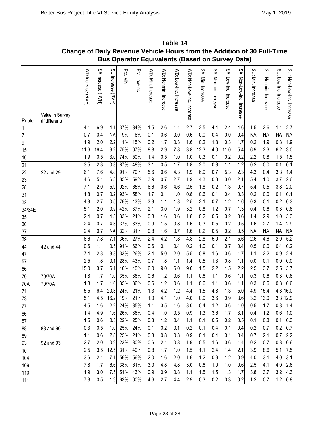|          |                                   | סוומוושל טו האווט |                   |                     |            |              | <b>Bus Operator Equivalents (Based on Survey Data)</b> | יטופ                    |                       |                           |                   |                      |                       |                           |                   |                      |                       |                           |
|----------|-----------------------------------|-------------------|-------------------|---------------------|------------|--------------|--------------------------------------------------------|-------------------------|-----------------------|---------------------------|-------------------|----------------------|-----------------------|---------------------------|-------------------|----------------------|-----------------------|---------------------------|
| Route    | Value in Survey<br>(if different) | WD Increase (RVH) | SA Increase (RVH) | SU Increase<br>ENH) | Pct. Min   | Pct. Low-Inc | WD: Min. Increase                                      | WD: Nonmin.<br>Increase | WD: Low-Inc. Increase | WD: Non-Low-Inc. Increase | SA: Min. Increase | SA: Nonmin. Increase | SA: Low-Inc. Increase | SA: Non-Low-Inc. Increase | SU: Min. Increase | SU: Nonmin. Increase | SU. Low-Inc. Increase | SU: Non-Low-Inc. Increase |
| 1        |                                   | 4.1               | 6.9               | 4.1                 | 37%        | 34%          | 1.5                                                    | 2.6                     | 1.4                   | $\overline{2.7}$          | 2.5               | 4.4                  | 2.4                   | 4.6                       | 1.5               | 2.6                  | 1.4                   | $\overline{2.7}$          |
| 7        |                                   | 0.7               | 0.4               | <b>NA</b>           | 9%         | 6%           | 0.1                                                    | 0.6                     | 0.0                   | 0.6                       | 0.0               | 0.4                  | 0.0                   | 0.4                       | <b>NA</b>         | <b>NA</b>            | <b>NA</b>             | <b>NA</b>                 |
| 9        |                                   | 1.9               | 2.0               | 2.2                 | 11%        | 15%          | 0.2                                                    | 1.7                     | 0.3                   | 1.6                       | 0.2               | 1.8                  | 0.3                   | 1.7                       | 0.2               | 1.9                  | 0.3                   | 1.9                       |
| 15       |                                   | 11.6              | 16.4              | 9.2                 | 75%        | 67%          | 8.8                                                    | 2.9                     | 7.8                   | 3.8                       | 12.3              | 4.0                  | 11.0                  | 5.4                       | 6.9               | 2.3                  | 6.2                   | 3.0                       |
| 16       |                                   | 1.9               | 0.5               | 3.0                 | 74%        | 50%          | 1.4                                                    | 0.5                     | 1.0                   | 1.0                       | 0.3               | 0.1                  | 0.2                   | 0.2                       | 2.2               | 0.8                  | 1.5                   | 1.5                       |
| 21       |                                   | $\overline{3.5}$  | 2.3               | 0.3                 | 87%        | 48%          | 3.1                                                    | 0.5                     | 1.7                   | 1.8                       | 2.0               | 0.3                  | 1.1                   | 1.2                       | $\overline{0.2}$  | 0.0                  | 0.1                   | 0.1                       |
| 22       | 22 and 29                         | 6.1               | 7.6               | 4.8                 | 91%        | 70%          | 5.6                                                    | 0.6                     | 4.3                   | 1.9                       | 6.9               | 0.7                  | 5.3                   | 2.3                       | 4.3               | 0.4                  | 3.3                   | 1.4                       |
| 23       |                                   | 4.6               | 5.1               | 6.3                 | 85%        | 59%          | 3.9                                                    | 0.7                     | 2.7                   | 1.9                       | 4.3               | 0.8                  | 3.0                   | 2.1                       | 5.4               | 1.0                  | 3.7                   | 2.6                       |
| 28       |                                   | 7.1               | 2.0               | 5.9                 | 92%        | 65%          | 6.6                                                    | 0.6                     | 4.6                   | 2.5                       | 1.8               | 0.2                  | 1.3                   | 0.7                       | 5.4               | 0.5                  | 3.8                   | 2.0                       |
| 31       |                                   | 1.8               | 0.7               | 0.2                 | 93%        | 58%          | 1.7                                                    | 0.1                     | 1.0                   | 0.8                       | 0.6               | 0.1                  | 0.4                   | 0.3                       | 0.2               | 0.0                  | 0.1                   | 0.1                       |
| 32       |                                   | 4.3               | 2.7               | 0.5                 | 76%        | 43%          | 3.3                                                    | 1.1                     | 1.8                   | 2.5                       | 2.1               | 0.7                  | 1.2                   | 1.6                       | 0.3               | 0.1                  | 0.2                   | 0.3                       |
| 34/34E   |                                   | 5.1               | 2.0               | 0.9                 | 42%        | 37%          | 2.1                                                    | 3.0                     | 1.9                   | 3.2                       | 0.8               | 1.2                  | 0.7                   | 1.3                       | 0.4               | 0.6                  | 0.3<br>1.0            | 0.6<br>3.3                |
| 35       |                                   | 2.4<br>2.4        | 0.7<br>0.7        | 4.3<br>4.3          | 33%<br>37% | 24%<br>33%   | 0.8<br>0.9                                             | 1.6<br>1.5              | 0.6<br>0.8            | 1.8<br>1.6                | 0.2<br>0.3        | 0.5<br>0.5           | 0.2<br>0.2            | 0.6<br>0.5                | 1.4<br>1.6        | 2.9<br>2.7           | 1.4                   | 2.9                       |
| 36<br>37 |                                   | 2.4               | 0.7               | <b>NA</b>           | 32%        | 31%          | 0.8                                                    | 1.6                     | 0.7                   | 1.6                       | 0.2               | 0.5                  | 0.2                   | 0.5                       | <b>NA</b>         | <b>NA</b>            | <b>NA</b>             | <b>NA</b>                 |
| 39       |                                   | 6.6               | 7.8               | 7.1                 | 36%        | 27%          | 2.4                                                    | 4.2                     | 1.8                   | 4.8                       | 2.8               | 5.0                  | 2.1                   | 5.6                       | 2.6               | 4.6                  | $\overline{2.0}$      | 5.2                       |
| 44       | 42 and 44                         | 0.6               | 1.1               | 0.5                 | 91%        | 66%          | 0.6                                                    | 0.1                     | 0.4                   | 0.2                       | 1.0               | 0.1                  | 0.7                   | 0.4                       | 0.5               | 0.0                  | 0.4                   | 0.2                       |
| 47       |                                   | 7.4               | 2.3               | 3.3                 | 33%        | 26%          | 2.4                                                    | 5.0                     | 2.0                   | 5.5                       | 0.8               | 1.6                  | 0.6                   | 1.7                       | 1.1               | 2.2                  | 0.9                   | 2.4                       |
| 57       |                                   | 2.5               | 1.8               | 0.1                 | 28%        | 43%          | 0.7                                                    | 1.8                     | 1.1                   | 1.4                       | 0.5               | 1.3                  | 0.8                   | 1.1                       | 0.0               | 0.1                  | 0.0                   | 0.0                       |
| 66       |                                   | 15.0              | 3.7               | 6.1                 | 40%        | 40%          | 6.0                                                    | 9.0                     | 6.0                   | 9.0                       | 1.5               | 2.2                  | 1.5                   | 2.2                       | 2.5               | 3.7                  | 2.5                   | 3.7                       |
| 70       | 70/70A                            | $\overline{1.8}$  | 1.7               | 1.0                 | 35%        | 36%          | 0.6                                                    | 1.2                     | 0.6                   | 1.1                       | 0.6               | 1.1                  | 0.6                   | 1.1                       | 0.3               | 0.6                  | $\overline{0.3}$      | 0.6                       |
| 70A      | 70/70A                            | 1.8               | 1.7               | 1.0                 | 35%        | 36%          | 0.6                                                    | 1.2                     | 0.6                   | 1.1                       | 0.6               | 1.1                  | 0.6                   | 1.1                       | 0.3               | 0.6                  | 0.3                   | 0.6                       |
| 71       |                                   | 5.5               | 6.4               | 20.3                | 24%        | 21%          | 1.3                                                    | 4.2                     | 1.2                   | 4.4                       | 1.5               | 4.8                  | 1.3                   | 5.0                       | 4.9               | 15.4                 | 4.3                   | 16.0                      |
| 73       |                                   | 5.1               | 4.5               | 16.2                | 19%        | 21%          | 1.0                                                    | 4.1                     | 1.0                   | 4.0                       | 0.9               | 3.6                  | 0.9                   | 3.6                       | 3.2               | 13.0                 |                       | 3.3 12.9                  |
| 77       |                                   | 4.5               | 1.6               | 2.2                 | 24%        | 35%          | 1.1                                                    | 3.5                     | 1.6                   | 3.0                       | 0.4               | 1.2                  | 0.6                   | 1.0                       | 0.5               | 1.7                  |                       | $0.8$ 1.4                 |
| 86       |                                   | 1.4               | 4.9               | 1.6                 | 26%        | 36%          | 0.4                                                    | 1.0                     | 0.5                   | 0.9                       | 1.3               | 3.6                  | 1.7                   | 3.1                       | 0.4               | 1.2                  | 0.6                   | 1.0                       |
| 87       |                                   | 1.5               | 0.6               | 0.3                 | 22%        | 25%          | 0.3                                                    | 1.2                     | 0.4                   | 1.1                       | 0.1               | 0.5                  | 0.2                   | 0.5                       | 0.1               | 0.3                  | 0.1                   | 0.3                       |
| 88       | 88 and 90                         | 0.3               | 0.5               | 1.0                 | 25%        | 24%          | 0.1                                                    | 0.2                     | 0.1                   | 0.2                       | 0.1               | 0.4                  | 0.1                   | 0.4                       | 0.2               | 0.7                  |                       | $0.2\quad 0.7$            |
| 89       |                                   | 1.1               | 0.6               | 2.8                 | 25%        | 24%          | 0.3                                                    | 0.8                     | 0.3                   | 0.9                       | 0.1               | 0.4                  | 0.1                   | 0.4                       | 0.7               | 2.1                  | 0.7                   | 2.2                       |
| 93       | 92 and 93                         | 2.7               | 2.0               | 0.9                 | 23%        | 30%          | 0.6                                                    | 2.1                     | 0.8                   | 1.9                       | 0.5               | 1.6                  | 0.6                   | 1.4                       | 0.2               | 0.7                  |                       | $0.3$ 0.6                 |
| 101      |                                   | 2.5               | 3.5               | 12.5                | 31%        | 40%          | 0.8                                                    | 1.7                     | 1.0                   | 1.5                       | 1.1               | 2.4                  | 1.4                   | 2.1                       | 3.9               | 8.6                  | 5.1                   | 7.5                       |
| 104      |                                   | 3.6               | 2.1               | 7.1                 | 56%        | 56%          | 2.0                                                    | 1.6                     | 2.0                   | 1.6                       | 1.2               | 0.9                  | 1.2                   | 0.9                       | 4.0               | 3.1                  | 4.0                   | 3.1                       |
| 109      |                                   | 7.8               | 1.7               | 6.6                 | 38%        | 61%          | 3.0                                                    | 4.8                     | 4.8                   | 3.0                       | 0.6               | 1.0                  | 1.0                   | 0.6                       | 2.5               | 4.1                  | 4.0                   | 2.6                       |
| 110      |                                   | 1.9               | 3.0               | 7.5                 |            | 51% 43%      | 0.9                                                    | 0.9                     | 0.8                   | 1.1                       | 1.5               | 1.5                  | 1.3                   | 1.7                       | 3.8               | 3.7                  | 3.2                   | 4.3                       |
| 111      |                                   | 7.3               | 0.5               | 1.9                 |            | 63% 60%      | 4.6                                                    | 2.7                     | 4.4                   | 2.9                       | 0.3               | 0.2                  | 0.3                   | 0.2                       | 1.2               | 0.7                  |                       | $1.2 \quad 0.8$           |

| Table 14                                                                |
|-------------------------------------------------------------------------|
| Change of Daily Revenue Vehicle Hours from the Addition of 30 Full-Time |
| <b>Bus Operator Equivalents (Based on Survey Data)</b>                  |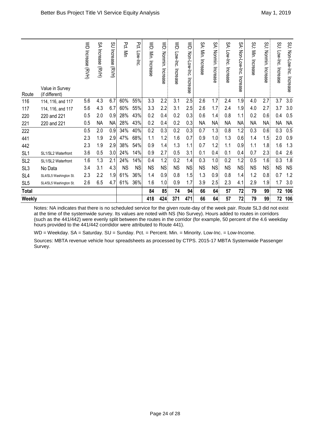| Route           | Value in Survey<br>(if different) | WD Increase (RVH) | λλ<br>Increase (RVH) | SO<br>Increase<br>(RVH) | Pct.<br>Min | Pct.<br>Low-Inc | $\leq$<br>Min.<br>Increase | <b>WD: Nonmin.</b><br>Increase | $\lessgtr$<br>Low-Inc.<br>Increase | WD: Non-Low-Inc. Increase | SA: Min. Increase | SA:<br>Nonmin.<br>Increase | SA:<br>Low-Inc.<br>Increase | SA: Non-Low-Inc.<br>Increase | SU: Min.<br>Increase | SU: Nonmin.<br>Increase | SU.<br>Low-Inc.<br>Increase | SU: Non-Low-Lio. Incease |
|-----------------|-----------------------------------|-------------------|----------------------|-------------------------|-------------|-----------------|----------------------------|--------------------------------|------------------------------------|---------------------------|-------------------|----------------------------|-----------------------------|------------------------------|----------------------|-------------------------|-----------------------------|--------------------------|
| 116             | 114, 116, and 117                 | 5.6               | 4.3                  | 6.7                     | 60%         | 55%             | 3.3                        | 2.2                            | 3.1                                | 2.5                       | 2.6               | 1.7                        | 2.4                         | 1.9                          | 4.0                  | 2.7                     | 3.7                         | 3.0                      |
| 117             | 114, 116, and 117                 | 5.6               | 4.3                  | 6.7                     | 60%         | 55%             | 3.3                        | 2.2                            | 3.1                                | 2.5                       | 2.6               | 1.7                        | 2.4                         | 1.9                          | 4.0                  | 2.7                     | 3.7                         | 3.0                      |
| 220             | 220 and 221                       | 0.5               | 2.0                  | 0.9                     | 28%         | 43%             | 0.2                        | 0.4                            | 0.2                                | 0.3                       | 0.6               | 1.4                        | 0.8                         | 1.1                          | 0.2                  | 0.6                     | 0.4                         | 0.5                      |
| 221             | 220 and 221                       | 0.5               | <b>NA</b>            | <b>NA</b>               | 28%         | 43%             | 0.2                        | 0.4                            | 0.2                                | 0.3                       | <b>NA</b>         | <b>NA</b>                  | <b>NA</b>                   | <b>NA</b>                    | <b>NA</b>            | <b>NA</b>               | <b>NA</b>                   | <b>NA</b>                |
| 222             |                                   | 0.5               | 2.0                  | 0.9                     | 34%         | 40%             | 0.2                        | 0.3                            | 0.2                                | 0.3                       | 0.7               | 1.3                        | 0.8                         | 1.2                          | 0.3                  | 0.6                     | 0.3                         | 0.5                      |
| 441             |                                   | 2.3               | 1.9                  | 2.9                     | 47%         | 68%             | 1.1                        | 1.2                            | 1.6                                | 0.7                       | 0.9               | 1.0                        | 1.3                         | 0.6                          | 1.4                  | 1.5                     | 2.0                         | 0.9                      |
| 442             |                                   | 2.3               | 1.9                  | 2.9                     | 38%         | 54%             | 0.9                        | 1.4                            | 1.3                                | 1.1                       | 0.7               | 1.2                        | 1.1                         | 0.9                          | 1.1                  | 1.8                     | 1.6                         | 1.3                      |
| SL <sub>1</sub> | SL1/SL2 Waterfront                | 3.6               | 0.5                  | 3.0                     | 24%         | 14%             | 0.9                        | 2.7                            | 0.5                                | 3.1                       | 0.1               | 0.4                        | 0.1                         | 0.4                          | 0.7                  | 2.3                     | 0.4                         | 2.6                      |
| SL <sub>2</sub> | SL1/SL2 Waterfront                | 1.6               | 1.3                  | 2.1                     | 24%         | 14%             | 0.4                        | 1.2                            | 0.2                                | 1.4                       | 0.3               | 1.0                        | 0.2                         | 1.2                          | 0.5                  | 1.6                     | 0.3                         | 1.8                      |
| SL <sub>3</sub> | No Data                           | 3.4               | 3.1                  | 4.3                     | <b>NS</b>   | <b>NS</b>       | <b>NS</b>                  | <b>NS</b>                      | <b>NS</b>                          | <b>NS</b>                 | <b>NS</b>         | <b>NS</b>                  | <b>NS</b>                   | <b>NS</b>                    | <b>NS</b>            | <b>NS</b>               | <b>NS</b>                   | <b>NS</b>                |
| SL <sub>4</sub> | SL4/SL5 Washington St.            | 2.3               | 2.2                  | 1.9                     | 61%         | 36%             | 1.4                        | 0.9                            | 0.8                                | 1.5                       | 1.3               | 0.9                        | 0.8                         | 1.4                          | 1.2                  | 0.8                     | 0.7                         | 1.2                      |
| SL <sub>5</sub> | SL4/SL5 Washington St.            | 2.6               | 6.5                  | 4.7                     | 61%         | 36%             | 1.6                        | 1.0                            | 0.9                                | 1.7                       | 3.9               | 2.5                        | 2.3                         | 4.1                          | 2.9                  | 1.9                     | 1.7                         | 3.0                      |
| <b>Total</b>    |                                   |                   |                      |                         |             |                 | 84                         | 85                             | 74                                 | 94                        | 66                | 64                         | 57                          | 72                           | 79                   | 99                      | 72                          | 106                      |
| Weekly          |                                   |                   |                      |                         |             |                 | 418                        | 424                            | 371                                | 471                       | 66                | 64                         | 57                          | 72                           | 79                   | 99                      | 72                          | 106                      |

Notes: NA indicates that there is no scheduled service for the given route-day of the week pair. Route SL3 did not exist at the time of the systemwide survey. Its values are noted with NS (No Survey). Hours added to routes in corridors (such as the 441/442) were evenly split between the routes in the corridor (for example, 50 percent of the 4.6 weekday hours provided to the 441/442 corrdidor were attributed to Route 441).

WD = Weekday. SA = Saturday. SU = Sunday. Pct. = Percent. Min. = Minority. Low-Inc. = Low-Income.

Sources: MBTA revenue vehicle hour spreadsheets as processed by CTPS. 2015-17 MBTA Systemwide Passenger Survey.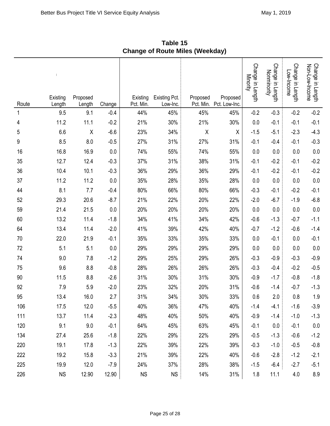| Route | Existing<br>Length | Proposed<br>Length | Change | Existing<br>Pct. Min. | <b>Existing Pct.</b><br>Low-Inc. | Proposed<br>Pct. Min. | Proposed<br>Pct. Low-Inc. | Change in Length<br>Minority | Change in Length<br>Nonminority | Change in Length<br>Low-Income | Change in Length<br>Non-Low-Income |
|-------|--------------------|--------------------|--------|-----------------------|----------------------------------|-----------------------|---------------------------|------------------------------|---------------------------------|--------------------------------|------------------------------------|
| 1     | 9.5                | 9.1                | $-0.4$ | 44%                   | 45%                              | 45%                   | 45%                       | $-0.2$                       | $-0.3$                          | $-0.2$                         | $-0.2$                             |
| 4     | 11.2               | 11.1               | $-0.2$ | 21%                   | 30%                              | 21%                   | 30%                       | 0.0                          | $-0.1$                          | $-0.1$                         | $-0.1$                             |
| 5     | 6.6                | $\pmb{\chi}$       | $-6.6$ | 23%                   | 34%                              | $\sf X$               | Χ                         | $-1.5$                       | $-5.1$                          | $-2.3$                         | $-4.3$                             |
| 9     | 8.5                | 8.0                | $-0.5$ | 27%                   | 31%                              | 27%                   | 31%                       | $-0.1$                       | $-0.4$                          | $-0.1$                         | $-0.3$                             |
| 16    | 16.8               | 16.9               | 0.0    | 74%                   | 55%                              | 74%                   | 55%                       | 0.0                          | 0.0                             | 0.0                            | 0.0                                |
| 35    | 12.7               | 12.4               | $-0.3$ | 37%                   | 31%                              | 38%                   | 31%                       | $-0.1$                       | $-0.2$                          | $-0.1$                         | $-0.2$                             |
| 36    | 10.4               | 10.1               | $-0.3$ | 36%                   | 29%                              | 36%                   | 29%                       | $-0.1$                       | $-0.2$                          | $-0.1$                         | $-0.2$                             |
| 37    | 11.2               | 11.2               | 0.0    | 35%                   | 28%                              | 35%                   | 28%                       | 0.0                          | 0.0                             | 0.0                            | $0.0\,$                            |
| 44    | 8.1                | 7.7                | $-0.4$ | 80%                   | 66%                              | 80%                   | 66%                       | $-0.3$                       | $-0.1$                          | $-0.2$                         | $-0.1$                             |
| 52    | 29.3               | 20.6               | $-8.7$ | 21%                   | 22%                              | 20%                   | 22%                       | $-2.0$                       | $-6.7$                          | $-1.9$                         | $-6.8$                             |
| 59    | 21.4               | 21.5               | 0.0    | 20%                   | 20%                              | 20%                   | 20%                       | 0.0                          | 0.0                             | 0.0                            | 0.0                                |
| 60    | 13.2               | 11.4               | $-1.8$ | 34%                   | 41%                              | 34%                   | 42%                       | $-0.6$                       | $-1.3$                          | $-0.7$                         | $-1.1$                             |
| 64    | 13.4               | 11.4               | $-2.0$ | 41%                   | 39%                              | 42%                   | 40%                       | $-0.7$                       | $-1.2$                          | $-0.6$                         | $-1.4$                             |
| 70    | 22.0               | 21.9               | $-0.1$ | 35%                   | 33%                              | 35%                   | 33%                       | 0.0                          | $-0.1$                          | 0.0                            | $-0.1$                             |
| 72    | 5.1                | 5.1                | 0.0    | 29%                   | 29%                              | 29%                   | 29%                       | 0.0                          | 0.0                             | 0.0                            | 0.0                                |
| 74    | 9.0                | 7.8                | $-1.2$ | 29%                   | 25%                              | 29%                   | 26%                       | $-0.3$                       | $-0.9$                          | $-0.3$                         | $-0.9$                             |
| 75    | 9.6                | 8.8                | $-0.8$ | 28%                   | 26%                              | 26%                   | 26%                       | $-0.3$                       | $-0.4$                          | $-0.2$                         | $-0.5$                             |
| 90    | 11.5               | 8.8                | $-2.6$ | 31%                   | 30%                              | 31%                   | 30%                       | $-0.9$                       | $-1.7$                          | $-0.8$                         | $-1.8$                             |
| 92    | 7.9                | 5.9                | $-2.0$ | 23%                   | 32%                              | 20%                   | 31%                       | $-0.6$                       | $-1.4$                          | $-0.7$                         | $-1.3$                             |
| 95    | 13.4               | 16.0               | 2.7    | 31%                   | 34%                              | 30%                   | 33%                       | 0.6                          | 2.0                             | 0.8                            | 1.9                                |
| 106   | 17.5               | 12.0               | $-5.5$ | 40%                   | 36%                              | 47%                   | 40%                       | $-1.4$                       | $-4.1$                          | $-1.6$                         | $-3.9$                             |
| 111   | 13.7               | 11.4               | $-2.3$ | 48%                   | 40%                              | 50%                   | 40%                       | $-0.9$                       | $-1.4$                          | $-1.0$                         | $-1.3$                             |
| 120   | 9.1                | 9.0                | $-0.1$ | 64%                   | 45%                              | 63%                   | 45%                       | $-0.1$                       | 0.0                             | $-0.1$                         | 0.0                                |
| 134   | 27.4               | 25.6               | $-1.8$ | 22%                   | 29%                              | 22%                   | 29%                       | $-0.5$                       | $-1.3$                          | $-0.6$                         | $-1.2$                             |
| 220   | 19.1               | 17.8               | $-1.3$ | 22%                   | 39%                              | 22%                   | 39%                       | $-0.3$                       | $-1.0$                          | $-0.5$                         | $-0.8$                             |
| 222   | 19.2               | 15.8               | $-3.3$ | 21%                   | 39%                              | 22%                   | 40%                       | $-0.6$                       | $-2.8$                          | $-1.2$                         | $-2.1$                             |
| 225   | 19.9               | 12.0               | $-7.9$ | 24%                   | 37%                              | 28%                   | 38%                       | $-1.5$                       | $-6.4$                          | $-2.7$                         | $-5.1$                             |
| 226   | <b>NS</b>          | 12.90              | 12.90  | <b>NS</b>             | <b>NS</b>                        | 14%                   | 31%                       | 1.8                          | 11.1                            | 4.0                            | 8.9                                |

**Table 15 Change of Route Miles (Weekday)**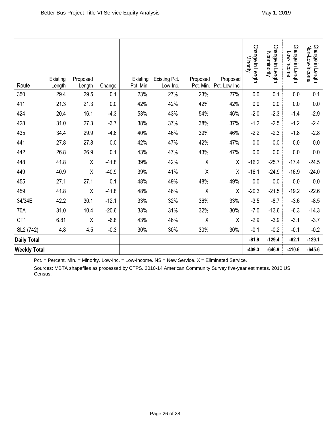| Route               | Existing<br>Length | Proposed<br>Length | Change  | Existing<br>Pct. Min. | <b>Existing Pct.</b><br>Low-Inc. | Proposed<br>Pct. Min. | Proposed<br>Pct. Low-Inc. | Change in Length<br>Minority | Change in Length<br>Nonminority | Change in Length<br>Low-Income | Change in Length<br>Non-Low-Income |
|---------------------|--------------------|--------------------|---------|-----------------------|----------------------------------|-----------------------|---------------------------|------------------------------|---------------------------------|--------------------------------|------------------------------------|
| 350                 | 29.4               | 29.5               | 0.1     | 23%                   | 27%                              | 23%                   | 27%                       | 0.0                          | 0.1                             | $0.0\,$                        | 0.1                                |
| 411                 | 21.3               | 21.3               | $0.0\,$ | 42%                   | 42%                              | 42%                   | 42%                       | 0.0                          | $0.0\,$                         | $0.0\,$                        | $0.0\,$                            |
| 424                 | 20.4               | 16.1               | $-4.3$  | 53%                   | 43%                              | 54%                   | 46%                       | $-2.0$                       | $-2.3$                          | $-1.4$                         | $-2.9$                             |
| 428                 | 31.0               | 27.3               | $-3.7$  | 38%                   | 37%                              | 38%                   | 37%                       | $-1.2$                       | $-2.5$                          | $-1.2$                         | $-2.4$                             |
| 435                 | 34.4               | 29.9               | $-4.6$  | 40%                   | 46%                              | 39%                   | 46%                       | $-2.2$                       | $-2.3$                          | $-1.8$                         | $-2.8$                             |
| 441                 | 27.8               | 27.8               | 0.0     | 42%                   | 47%                              | 42%                   | 47%                       | 0.0                          | 0.0                             | 0.0                            | 0.0                                |
| 442                 | 26.8               | 26.9               | 0.1     | 43%                   | 47%                              | 43%                   | 47%                       | 0.0                          | 0.0                             | 0.0                            | $0.0\,$                            |
| 448                 | 41.8               | Χ                  | $-41.8$ | 39%                   | 42%                              | $\sf X$               | Χ                         | $-16.2$                      | $-25.7$                         | $-17.4$                        | $-24.5$                            |
| 449                 | 40.9               | Χ                  | $-40.9$ | 39%                   | 41%                              | $\pmb{\chi}$          | Χ                         | $-16.1$                      | $-24.9$                         | $-16.9$                        | $-24.0$                            |
| 455                 | 27.1               | 27.1               | 0.1     | 48%                   | 49%                              | 48%                   | 49%                       | $0.0\,$                      | 0.0                             | $0.0\,$                        | $0.0\,$                            |
| 459                 | 41.8               | $\sf X$            | $-41.8$ | 48%                   | 46%                              | $\sf X$               | Χ                         | $-20.3$                      | $-21.5$                         | $-19.2$                        | $-22.6$                            |
| 34/34E              | 42.2               | 30.1               | $-12.1$ | 33%                   | 32%                              | 36%                   | 33%                       | $-3.5$                       | $-8.7$                          | $-3.6$                         | $-8.5$                             |
| 70A                 | 31.0               | 10.4               | $-20.6$ | 33%                   | 31%                              | 32%                   | 30%                       | $-7.0$                       | $-13.6$                         | $-6.3$                         | $-14.3$                            |
| CT1                 | 6.81               | Χ                  | $-6.8$  | 43%                   | 46%                              | X                     | X                         | $-2.9$                       | $-3.9$                          | $-3.1$                         | $-3.7$                             |
| SL2 (742)           | 4.8                | 4.5                | $-0.3$  | 30%                   | 30%                              | 30%                   | 30%                       | $-0.1$                       | $-0.2$                          | $-0.1$                         | $-0.2$                             |
| <b>Daily Total</b>  |                    |                    |         |                       |                                  |                       |                           | $-81.9$                      | $-129.4$                        | $-82.1$                        | $-129.1$                           |
| <b>Weekly Total</b> |                    |                    |         |                       |                                  |                       |                           | $-409.3$                     | $-646.9$                        | $-410.6$                       | $-645.6$                           |

Pct. = Percent. Min. = Minority. Low-Inc. = Low-Income. NS = New Service. X = Eliminated Service.

Sources: MBTA shapefiles as processed by CTPS. 2010-14 American Community Survey five-year estimates. 2010 US Census.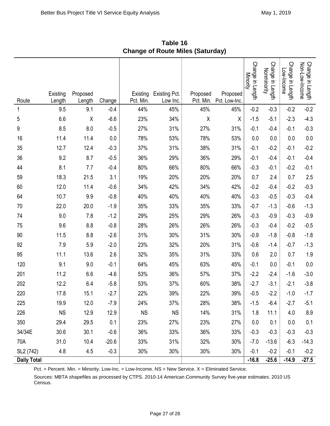|                       | Existing      | Proposed      | Change  | Existing<br>Pct. Min. | <b>Existing Pct.</b><br>Low Inc. | Proposed<br>Pct. Min. | ,,<br>Proposed<br>Pct. Low-Inc. | Change in Length<br>Minority | Change in Length<br>Nonminority | Change in Length<br>Low-Income | Change in Length<br>Non-Low-Income |
|-----------------------|---------------|---------------|---------|-----------------------|----------------------------------|-----------------------|---------------------------------|------------------------------|---------------------------------|--------------------------------|------------------------------------|
| Route<br>1            | Length<br>9.5 | Length<br>9.1 | $-0.4$  | 44%                   | 45%                              | 45%                   | 45%                             | $-0.2$                       | $-0.3$                          | $-0.2$                         | $-0.2$                             |
| 5                     | 6.6           | Χ             | $-6.6$  | 23%                   | 34%                              | Χ                     | Χ                               | $-1.5$                       | $-5.1$                          | $-2.3$                         | $-4.3$                             |
| 9                     | 8.5           | 8.0           | $-0.5$  | 27%                   | 31%                              | 27%                   | 31%                             | $-0.1$                       | $-0.4$                          | $-0.1$                         | $-0.3$                             |
| 16                    | 11.4          | 11.4          | 0.0     | 78%                   | 53%                              | 78%                   | 53%                             | 0.0                          | 0.0                             | 0.0                            | 0.0                                |
| 35                    | 12.7          | 12.4          | $-0.3$  | 37%                   | 31%                              | 38%                   | 31%                             | $-0.1$                       | $-0.2$                          | $-0.1$                         | $-0.2$                             |
| 36                    | 9.2           | 8.7           | $-0.5$  | 36%                   | 29%                              | 36%                   | 29%                             | $-0.1$                       | $-0.4$                          | $-0.1$                         | $-0.4$                             |
| 44                    | 8.1           | 7.7           | $-0.4$  | 80%                   | 66%                              | 80%                   | 66%                             | $-0.3$                       | $-0.1$                          | $-0.2$                         | $-0.1$                             |
| 59                    | 18.3          | 21.5          | 3.1     | 19%                   | 20%                              | 20%                   | 20%                             | 0.7                          | 2.4                             | 0.7                            | 2.5                                |
| 60                    | 12.0          | 11.4          | $-0.6$  | 34%                   | 42%                              | 34%                   | 42%                             | $-0.2$                       | $-0.4$                          | $-0.2$                         | $-0.3$                             |
| 64                    | 10.7          | 9.9           | $-0.8$  | 40%                   | 40%                              | 40%                   | 40%                             | $-0.3$                       | $-0.5$                          | $-0.3$                         | $-0.4$                             |
| 70                    | 22.0          | 20.0          | $-1.9$  | 35%                   | 33%                              | 35%                   | 33%                             | $-0.7$                       | $-1.3$                          | $-0.6$                         | $-1.3$                             |
| 74                    | 9.0           | 7.8           | $-1.2$  | 29%                   | 25%                              | 29%                   | 26%                             | $-0.3$                       | $-0.9$                          | $-0.3$                         | $-0.9$                             |
| 75                    | 9.6           | 8.8           | $-0.8$  | 28%                   | 26%                              | 26%                   | 26%                             | $-0.3$                       | $-0.4$                          | $-0.2$                         | $-0.5$                             |
| 90                    | 11.5          | 8.8           | $-2.6$  | 31%                   | 30%                              | 31%                   | 30%                             | $-0.9$                       | $-1.8$                          | $-0.8$                         | $-1.8$                             |
| 92                    | 7.9           | 5.9           | $-2.0$  | 23%                   | 32%                              | 20%                   | 31%                             | $-0.6$                       | $-1.4$                          | $-0.7$                         | $-1.3$                             |
| 95                    | 11.1          | 13.6          | 2.6     | 32%                   | 35%                              | 31%                   | 33%                             | 0.6                          | 2.0                             | 0.7                            | 1.9                                |
| 120                   | 9.1           | 9.0           | $-0.1$  | 64%                   | 45%                              | 63%                   | 45%                             | $-0.1$                       | 0.0                             | $-0.1$                         | 0.0                                |
| 201                   | 11.2          | 6.6           | $-4.6$  | 53%                   | 36%                              | 57%                   | 37%                             | $-2.2$                       | $-2.4$                          | $-1.6$                         | $-3.0$                             |
| 202                   | 12.2          | 6.4           | $-5.8$  | 53%                   | 37%                              | 60%                   | 38%                             | $-2.7$                       | $-3.1$                          | $-2.1$                         | $-3.8$                             |
| 220                   | 17.8          | 15.1          | $-2.7$  | 22%                   | 39%                              | 22%                   | 39%                             | $-0.5$                       | $-2.2$                          | $-1.0$                         | $-1.7$                             |
| 225                   | 19.9          | 12.0          | $-7.9$  | 24%                   | 37%                              | 28%                   | 38%                             | $-1.5$                       | $-6.4$                          | $-2.7$                         | $-5.1$                             |
| 226                   | <b>NS</b>     | 12.9          | 12.9    | <b>NS</b>             | <b>NS</b>                        | 14%                   | 31%                             | 1.8                          | 11.1                            | 4.0                            | 8.9                                |
| 350                   | 29.4          | 29.5          | 0.1     | 23%                   | 27%                              | 23%                   | 27%                             | 0.0                          | 0.1                             | 0.0                            | 0.1                                |
| 34/34E                | 30.6          | 30.1          | $-0.6$  | 36%                   | 33%                              | 36%                   | 33%                             | $-0.3$                       | $-0.3$                          | $-0.3$                         | $-0.3$                             |
| 70A                   | 31.0          | 10.4          | $-20.6$ | 33%                   | 31%                              | 32%                   | 30%                             | $-7.0$                       | $-13.6$                         | $-6.3$                         | $-14.3$                            |
| SL <sub>2</sub> (742) | 4.8           | 4.5           | $-0.3$  | 30%                   | 30%                              | 30%                   | 30%                             | $-0.1$                       | $-0.2$                          | $-0.1$                         | $-0.2$                             |
| <b>Daily Total</b>    |               |               |         |                       |                                  |                       |                                 | $-16.8$                      | $-25.6$                         | $-14.9$                        | $-27.5$                            |

**Table 16 Change of Route Miles (Saturday)**

Pct. = Percent. Min. = Minority. Low-Inc. = Low-Income. NS = New Service. X = Eliminated Service.

Sources: MBTA shapefiles as processed by CTPS. 2010-14 American Community Survey five-year estimates. 2010 US Census.